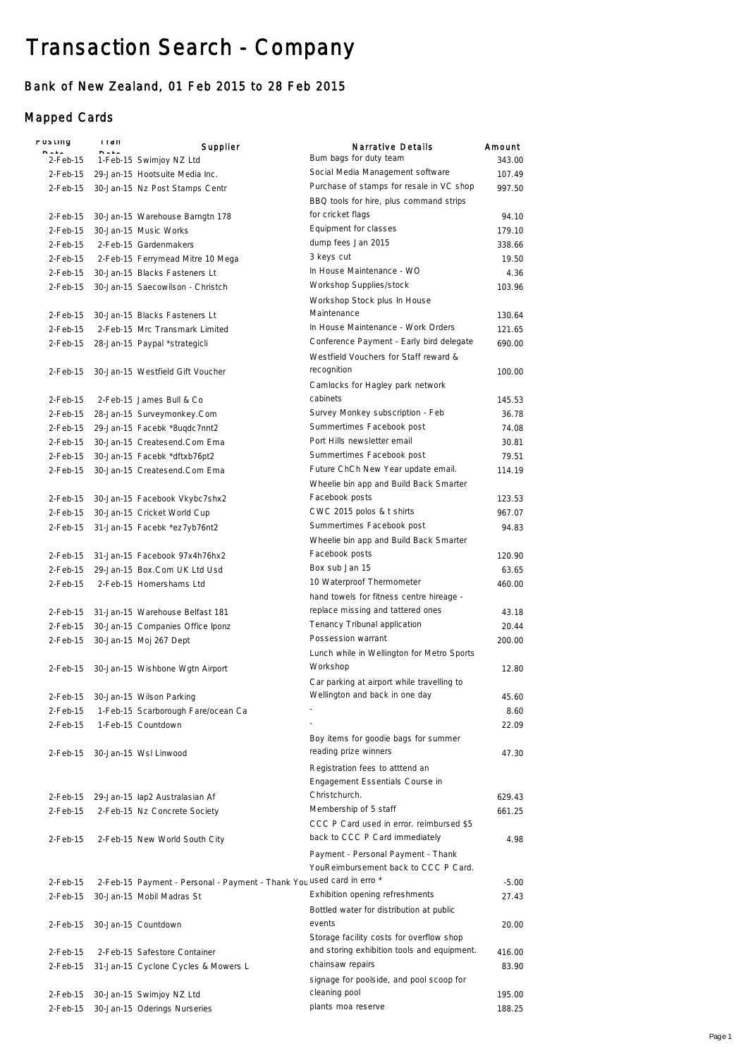## Transaction Search - Company

## Bank of New Zealand, 01 Feb 2015 to 28 Feb 2015

## Mapped Cards

| POSTING     | i i an | Supplier                                                              | <b>Narrative Details</b>                                      | Amount  |
|-------------|--------|-----------------------------------------------------------------------|---------------------------------------------------------------|---------|
| 2-Feb-15    |        | 1-Feb-15 Swimjoy NZ Ltd                                               | Bum bags for duty team                                        | 343.00  |
|             |        | 2-Feb-15 29-Jan-15 Hootsuite Media Inc.                               | Social Media Management software                              | 107.49  |
| 2-Feb-15    |        | 30-Jan-15 Nz Post Stamps Centr                                        | Purchase of stamps for resale in VC shop                      | 997.50  |
|             |        |                                                                       | BBQ tools for hire, plus command strips                       |         |
| $2$ -Feb-15 |        | 30-Jan-15 Warehouse Barngtn 178                                       | for cricket flags                                             | 94.10   |
| 2-Feb-15    |        | 30-Jan-15 Music Works                                                 | Equipment for classes                                         | 179.10  |
| $2-Feb-15$  |        | 2-Feb-15 Gardenmakers                                                 | dump fees Jan 2015                                            | 338.66  |
|             |        |                                                                       | 3 keys cut                                                    | 19.50   |
| 2-Feb-15    |        | 2-Feb-15 Ferrymead Mitre 10 Mega                                      | In House Maintenance - WO                                     |         |
| 2-Feb-15    |        | 30-Jan-15 Blacks Fasteners Lt                                         | Workshop Supplies/stock                                       | 4.36    |
| 2-Feb-15    |        | 30-Jan-15 Saecowilson - Christch                                      |                                                               | 103.96  |
|             |        |                                                                       | Workshop Stock plus In House                                  |         |
|             |        | 2-Feb-15 30-Jan-15 Blacks Fasteners Lt                                | Maintenance                                                   | 130.64  |
| 2-Feb-15    |        | 2-Feb-15 Mrc Transmark Limited                                        | In House Maintenance - Work Orders                            | 121.65  |
| 2-Feb-15    |        | 28-Jan-15 Paypal *strategicli                                         | Conference Payment - Early bird delegate                      | 690.00  |
|             |        |                                                                       | Westfield Vouchers for Staff reward &                         |         |
|             |        | 2-Feb-15 30-Jan-15 Westfield Gift Voucher                             | recognition                                                   | 100.00  |
|             |        |                                                                       | Camlocks for Hagley park network                              |         |
| 2-Feb-15    |        | 2-Feb-15 James Bull & Co                                              | cabinets                                                      | 145.53  |
| 2-Feb-15    |        | 28-Jan-15 Surveymonkey.Com                                            | Survey Monkey subscription - Feb                              | 36.78   |
| 2-Feb-15    |        | 29-Jan-15 Facebk *8ugdc7nnt2                                          | Summertimes Facebook post                                     | 74.08   |
| 2-Feb-15    |        | 30-Jan-15 Createsend.Com Ema                                          | Port Hills newsletter email                                   | 30.81   |
| 2-Feb-15    |        | 30-Jan-15 Facebk *dftxb76pt2                                          | Summertimes Facebook post                                     | 79.51   |
| 2-Feb-15    |        | 30-Jan-15 Createsend.Com Ema                                          | Future ChCh New Year update email.                            | 114.19  |
|             |        |                                                                       | Wheelie bin app and Build Back Smarter                        |         |
| 2-Feb-15    |        | 30-Jan-15 Facebook Vkybc7shx2                                         | Facebook posts                                                | 123.53  |
| 2-Feb-15    |        | 30-Jan-15 Cricket World Cup                                           | CWC 2015 polos & t shirts                                     | 967.07  |
| 2-Feb-15    |        | 31-Jan-15 Facebk *ez7yb76nt2                                          | Summertimes Facebook post                                     | 94.83   |
|             |        |                                                                       | Wheelie bin app and Build Back Smarter                        |         |
| 2-Feb-15    |        | 31-Jan-15 Facebook 97x4h76hx2                                         | Facebook posts                                                | 120.90  |
| 2-Feb-15    |        | 29-Jan-15 Box.Com UK Ltd Usd                                          | Box sub Jan 15                                                | 63.65   |
| 2-Feb-15    |        | 2-Feb-15 Homershams Ltd                                               | 10 Waterproof Thermometer                                     | 460.00  |
|             |        |                                                                       | hand towels for fitness centre hireage -                      |         |
| 2-Feb-15    |        | 31-Jan-15 Warehouse Belfast 181                                       | replace missing and tattered ones                             | 43.18   |
| 2-Feb-15    |        | 30-Jan-15 Companies Office Iponz                                      | Tenancy Tribunal application                                  | 20.44   |
| 2-Feb-15    |        | 30-Jan-15 Moj 267 Dept                                                | Possession warrant                                            | 200.00  |
|             |        |                                                                       | Lunch while in Wellington for Metro Sports                    |         |
|             |        | 2-Feb-15 30-Jan-15 Wishbone Wgtn Airport                              | Workshop                                                      | 12.80   |
|             |        |                                                                       | Car parking at airport while travelling to                    |         |
|             |        |                                                                       | Wellington and back in one day                                | 45.60   |
|             |        | 2-Feb-15 30-Jan-15 Wilson Parking                                     |                                                               |         |
| 2-Feb-15    |        | 1-Feb-15 Scarborough Fare/ocean Ca                                    |                                                               | 8.60    |
| 2-Feb-15    |        | 1-Feb-15 Countdown                                                    |                                                               | 22.09   |
|             |        |                                                                       | Boy items for goodie bags for summer<br>reading prize winners |         |
|             |        | 2-Feb-15 30-Jan-15 Wsl Linwood                                        |                                                               | 47.30   |
|             |        |                                                                       | Registration fees to atttend an                               |         |
|             |        |                                                                       | Engagement Essentials Course in                               |         |
|             |        | 2-Feb-15 29-Jan-15 lap2 Australasian Af                               | Christchurch.                                                 | 629.43  |
| 2-Feb-15    |        | 2-Feb-15 Nz Concrete Society                                          | Membership of 5 staff                                         | 661.25  |
|             |        |                                                                       | CCC P Card used in error. reimbursed \$5                      |         |
| 2-Feb-15    |        | 2-Feb-15 New World South City                                         | back to CCC P Card immediately                                | 4.98    |
|             |        |                                                                       | Payment - Personal Payment - Thank                            |         |
|             |        |                                                                       | YouReimbursement back to CCC P Card.                          |         |
| 2-Feb-15    |        | 2-Feb-15 Payment - Personal - Payment - Thank You used card in erro * |                                                               | $-5.00$ |
| 2-Feb-15    |        | 30-Jan-15 Mobil Madras St                                             | Exhibition opening refreshments                               | 27.43   |
|             |        |                                                                       | Bottled water for distribution at public                      |         |
| 2-Feb-15    |        | 30-Jan-15 Countdown                                                   | events                                                        | 20.00   |
|             |        |                                                                       | Storage facility costs for overflow shop                      |         |
| 2-Feb-15    |        | 2-Feb-15 Safestore Container                                          | and storing exhibition tools and equipment.                   | 416.00  |
| 2-Feb-15    |        | 31-Jan-15 Cyclone Cycles & Mowers L                                   | chainsaw repairs                                              | 83.90   |
|             |        |                                                                       | signage for poolside, and pool scoop for                      |         |
| 2-Feb-15    |        | 30-Jan-15 Swimjoy NZ Ltd                                              | cleaning pool                                                 | 195.00  |
| 2-Feb-15    |        | 30-Jan-15 Oderings Nurseries                                          | plants moa reserve                                            | 188.25  |
|             |        |                                                                       |                                                               |         |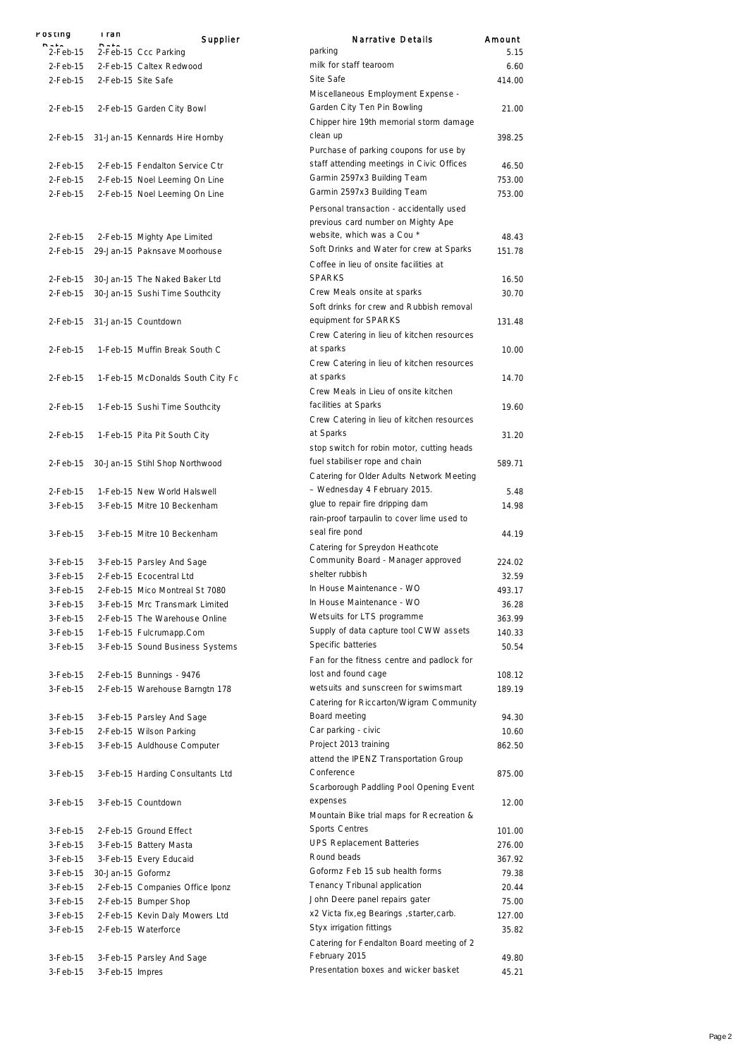| POSTING    | i ran             | Supplier                         | Narrative Details                                                     | Amount |
|------------|-------------------|----------------------------------|-----------------------------------------------------------------------|--------|
| $2-Feb-15$ |                   | 2-Feb-15 Ccc Parking             | parking                                                               | 5.15   |
| $2-Feb-15$ |                   | 2-Feb-15 Caltex Redwood          | milk for staff tearoom                                                | 6.60   |
| $2-Feb-15$ |                   | 2-Feb-15 Site Safe               | Site Safe                                                             | 414.00 |
|            |                   |                                  | Miscellaneous Employment Expense -                                    |        |
| $2-Feb-15$ |                   | 2-Feb-15 Garden City Bowl        | Garden City Ten Pin Bowling                                           | 21.00  |
|            |                   |                                  | Chipper hire 19th memorial storm damage                               |        |
| $2-Feb-15$ |                   | 31-Jan-15 Kennards Hire Hornby   | clean up                                                              | 398.25 |
|            |                   |                                  | Purchase of parking coupons for use by                                |        |
| $2-Feb-15$ |                   | 2-Feb-15 Fendalton Service Ctr   | staff attending meetings in Civic Offices                             | 46.50  |
| 2-Feb-15   |                   | 2-Feb-15 Noel Leeming On Line    | Garmin 2597x3 Building Team                                           | 753.00 |
| 2-Feb-15   |                   | 2-Feb-15 Noel Leeming On Line    | Garmin 2597x3 Building Team                                           | 753.00 |
|            |                   |                                  | Personal transaction - accidentally used                              |        |
|            |                   |                                  | previous card number on Mighty Ape                                    |        |
| 2-Feb-15   |                   | 2-Feb-15 Mighty Ape Limited      | website, which was a Cou *                                            | 48.43  |
| 2-Feb-15   |                   | 29-Jan-15 Paknsave Moorhouse     | Soft Drinks and Water for crew at Sparks                              | 151.78 |
|            |                   |                                  | Coffee in lieu of onsite facilities at                                |        |
| 2-Feb-15   |                   | 30-Jan-15 The Naked Baker Ltd    | <b>SPARKS</b>                                                         | 16.50  |
| $2-Feb-15$ |                   | 30-Jan-15 Sushi Time Southcity   | Crew Meals onsite at sparks                                           | 30.70  |
|            |                   |                                  | Soft drinks for crew and Rubbish removal                              |        |
| 2-Feb-15   |                   | 31-Jan-15 Countdown              | equipment for SPARKS                                                  | 131.48 |
|            |                   |                                  | Crew Catering in lieu of kitchen resources                            |        |
| $2-Feb-15$ |                   | 1-Feb-15 Muffin Break South C    | at sparks                                                             | 10.00  |
|            |                   |                                  | Crew Catering in lieu of kitchen resources                            |        |
| $2-Feb-15$ |                   | 1-Feb-15 McDonalds South City Fc | at sparks                                                             | 14.70  |
|            |                   |                                  | Crew Meals in Lieu of onsite kitchen                                  |        |
| $2-Feb-15$ |                   | 1-Feb-15 Sushi Time Southcity    | facilities at Sparks                                                  | 19.60  |
|            |                   |                                  | Crew Catering in lieu of kitchen resources                            |        |
| 2-Feb-15   |                   |                                  | at Sparks                                                             | 31.20  |
|            |                   | 1-Feb-15 Pita Pit South City     | stop switch for robin motor, cutting heads                            |        |
|            |                   |                                  | fuel stabiliser rope and chain                                        | 589.71 |
| 2-Feb-15   |                   | 30-Jan-15 Stihl Shop Northwood   | Catering for Older Adults Network Meeting                             |        |
|            |                   | 1-Feb-15 New World Halswell      | - Wednesday 4 February 2015.                                          | 5.48   |
| 2-Feb-15   |                   | 3-Feb-15 Mitre 10 Beckenham      | glue to repair fire dripping dam                                      | 14.98  |
| 3-Feb-15   |                   |                                  | rain-proof tarpaulin to cover lime used to                            |        |
| $3-Feh-15$ |                   |                                  | seal fire pond                                                        | 44.19  |
|            |                   | 3-Feb-15 Mitre 10 Beckenham      |                                                                       |        |
|            |                   |                                  | Catering for Spreydon Heathcote<br>Community Board - Manager approved |        |
| 3-Feb-15   |                   | 3-Feb-15 Parsley And Sage        | shelter rubbish                                                       | 224.02 |
| 3-Feb-15   |                   | 2-Feb-15 Ecocentral Ltd          | In House Maintenance - WO                                             | 32.59  |
| 3-Feb-15   |                   | 2-Feb-15 Mico Montreal St 7080   | In House Maintenance - WO                                             | 493.17 |
| 3-Feb-15   |                   | 3-Feb-15 Mrc Transmark Limited   | Wetsuits for LTS programme                                            | 36.28  |
| 3-Feb-15   |                   | 2-Feb-15 The Warehouse Online    |                                                                       | 363.99 |
| 3-Feb-15   |                   | 1-Feb-15 Fulcrumapp.Com          | Supply of data capture tool CWW assets                                | 140.33 |
| 3-Feb-15   |                   | 3-Feb-15 Sound Business Systems  | Specific batteries                                                    | 50.54  |
|            |                   |                                  | Fan for the fitness centre and padlock for                            |        |
| 3-Feb-15   |                   | 2-Feb-15 Bunnings - 9476         | lost and found cage                                                   | 108.12 |
| 3-Feb-15   |                   | 2-Feb-15 Warehouse Barngtn 178   | wetsuits and sunscreen for swimsmart                                  | 189.19 |
|            |                   |                                  | Catering for Riccarton/Wigram Community                               |        |
| 3-Feb-15   |                   | 3-Feb-15 Parsley And Sage        | Board meeting                                                         | 94.30  |
| 3-Feb-15   |                   | 2-Feb-15 Wilson Parking          | Car parking - civic                                                   | 10.60  |
| 3-Feb-15   |                   | 3-Feb-15 Auldhouse Computer      | Project 2013 training                                                 | 862.50 |
|            |                   |                                  | attend the IPENZ Transportation Group                                 |        |
| 3-Feb-15   |                   | 3-Feb-15 Harding Consultants Ltd | Conference                                                            | 875.00 |
|            |                   |                                  | Scarborough Paddling Pool Opening Event                               |        |
| 3-Feb-15   |                   | 3-Feb-15 Countdown               | expenses                                                              | 12.00  |
|            |                   |                                  | Mountain Bike trial maps for Recreation &                             |        |
| 3-Feb-15   |                   | 2-Feb-15 Ground Effect           | <b>Sports Centres</b>                                                 | 101.00 |
| 3-Feb-15   |                   | 3-Feb-15 Battery Masta           | <b>UPS Replacement Batteries</b>                                      | 276.00 |
| 3-Feb-15   |                   | 3-Feb-15 Every Educaid           | Round beads                                                           | 367.92 |
| 3-Feb-15   | 30-Jan-15 Goformz |                                  | Goformz Feb 15 sub health forms                                       | 79.38  |
| 3-Feb-15   |                   | 2-Feb-15 Companies Office Iponz  | Tenancy Tribunal application                                          | 20.44  |
| 3-Feb-15   |                   | 2-Feb-15 Bumper Shop             | John Deere panel repairs gater                                        | 75.00  |
| 3-Feb-15   |                   | 2-Feb-15 Kevin Daly Mowers Ltd   | x2 Victa fix, eg Bearings, starter, carb.                             | 127.00 |
| 3-Feb-15   |                   | 2-Feb-15 Waterforce              | Styx irrigation fittings                                              | 35.82  |
|            |                   |                                  | Catering for Fendalton Board meeting of 2                             |        |
| 3-Feb-15   |                   | 3-Feb-15 Parsley And Sage        | February 2015                                                         | 49.80  |
| 3-Feb-15   | 3-Feb-15 Impres   |                                  | Presentation boxes and wicker basket                                  | 45.21  |
|            |                   |                                  |                                                                       |        |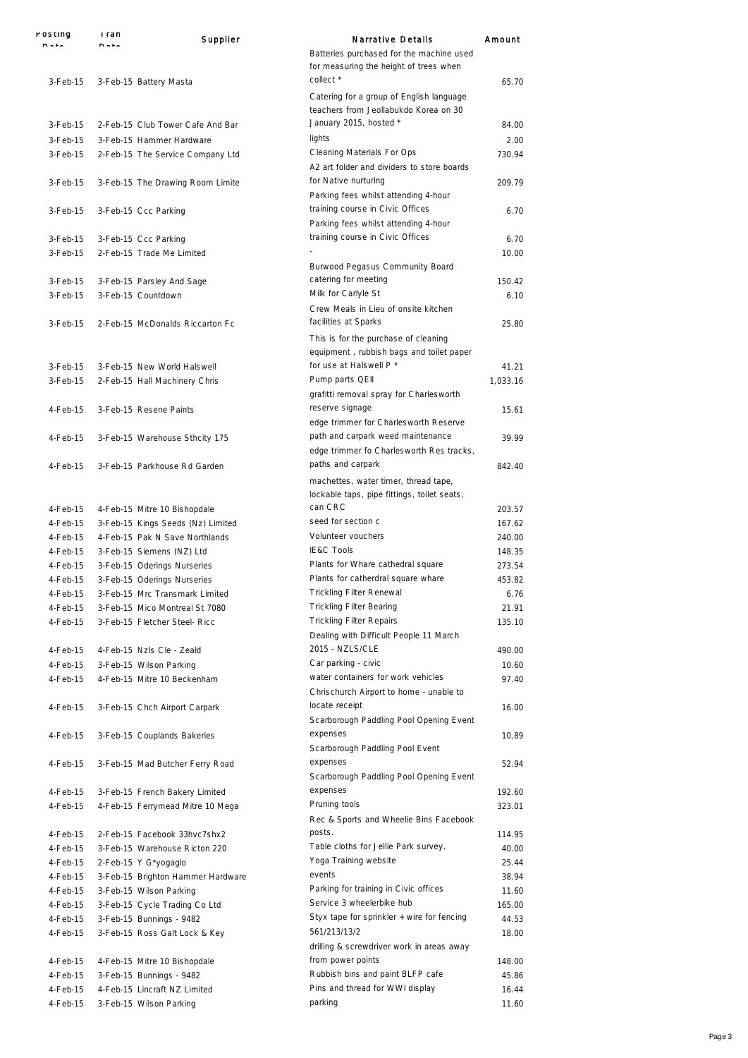| POSTING              | i ran       | Supplier                                                 | <b>Narrative Details</b>                                                                       | Amount         |
|----------------------|-------------|----------------------------------------------------------|------------------------------------------------------------------------------------------------|----------------|
|                      | <b>DAL-</b> |                                                          | Batteries purchased for the machine used<br>for measuring the height of trees when             |                |
| $3-Feb-15$           |             | 3-Feb-15 Battery Masta                                   | collect *<br>Catering for a group of English language<br>teachers from Jeollabukdo Korea on 30 | 65.70          |
| $3-Feb-15$           |             | 2-Feb-15 Club Tower Cafe And Bar                         | January 2015, hosted *                                                                         | 84.00          |
| $3-Feb-15$           |             | 3-Feb-15 Hammer Hardware                                 | lights                                                                                         | 2.00           |
| $3-Feb-15$           |             | 2-Feb-15 The Service Company Ltd                         | Cleaning Materials For Ops                                                                     | 730.94         |
|                      |             |                                                          | A2 art folder and dividers to store boards                                                     |                |
| $3-Feb-15$           |             | 3-Feb-15 The Drawing Room Limite                         | for Native nurturing                                                                           | 209.79         |
|                      |             |                                                          | Parking fees whilst attending 4-hour                                                           |                |
| 3-Feb-15             |             | 3-Feb-15 Ccc Parking                                     | training course in Civic Offices                                                               | 6.70           |
|                      |             |                                                          | Parking fees whilst attending 4-hour                                                           |                |
| 3-Feb-15             |             | 3-Feb-15 Ccc Parking                                     | training course in Civic Offices                                                               | 6.70           |
| 3-Feb-15             |             | 2-Feb-15 Trade Me Limited                                |                                                                                                | 10.00          |
|                      |             |                                                          | Burwood Pegasus Community Board<br>catering for meeting                                        |                |
| 3-Feb-15<br>3-Feb-15 |             | 3-Feb-15 Parsley And Sage<br>3-Feb-15 Countdown          | Milk for Carlyle St                                                                            | 150.42<br>6.10 |
|                      |             |                                                          | Crew Meals in Lieu of onsite kitchen                                                           |                |
| 3-Feb-15             |             | 2-Feb-15 McDonalds Riccarton Fc                          | facilities at Sparks                                                                           | 25.80          |
|                      |             |                                                          | This is for the purchase of cleaning                                                           |                |
|                      |             |                                                          | equipment, rubbish bags and toilet paper                                                       |                |
| 3-Feb-15             |             | 3-Feb-15 New World Halswell                              | for use at Halswell P *                                                                        | 41.21          |
| $3-Feh-15$           |             | 2-Feb-15 Hall Machinery Chris                            | Pump parts QEII                                                                                | 1,033.16       |
|                      |             |                                                          | grafitti removal spray for Charlesworth                                                        |                |
| 4-Feb-15             |             | 3-Feb-15 Resene Paints                                   | reserve signage                                                                                | 15.61          |
|                      |             |                                                          | edge trimmer for Charlesworth Reserve                                                          |                |
| 4-Feb-15             |             | 3-Feb-15 Warehouse Sthcity 175                           | path and carpark weed maintenance<br>edge trimmer fo Charlesworth Res tracks,                  | 39.99          |
| 4-Feb-15             |             | 3-Feb-15 Parkhouse Rd Garden                             | paths and carpark                                                                              | 842.40         |
|                      |             |                                                          | machettes, water timer, thread tape,                                                           |                |
|                      |             |                                                          | lockable taps, pipe fittings, toilet seats,                                                    |                |
| 4-Feb-15             |             | 4-Feb-15 Mitre 10 Bishopdale                             | can CRC                                                                                        | 203.57         |
| $4-Feb-15$           |             | 3-Feb-15 Kings Seeds (Nz) Limited                        | seed for section c                                                                             | 167.62         |
| 4-Feb-15             |             | 4-Feb-15 Pak N Save Northlands                           | Volunteer vouchers                                                                             | 240.00         |
| 4-Feb-15             |             | 3-Feb-15 Siemens (NZ) Ltd                                | <b>IE&amp;C Tools</b>                                                                          | 148.35         |
| 4-Feb-15             |             | 3-Feb-15 Oderings Nurseries                              | Plants for Whare cathedral square                                                              | 273.54         |
| 4-Feb-15             |             | 3-Feb-15 Oderings Nurseries                              | Plants for catherdral square whare                                                             | 453.82         |
| $4-Feb-15$           |             | 3-Feb-15 Mrc Transmark Limited                           | <b>Trickling Filter Renewal</b>                                                                | 6.76           |
| 4-Feb-15             |             | 3-Feb-15 Mico Montreal St 7080                           | <b>Trickling Filter Bearing</b><br><b>Trickling Filter Repairs</b>                             | 21.91          |
| 4-Feb-15             |             | 3-Feb-15 Fletcher Steel- Ricc                            | Dealing with Difficult People 11 March                                                         | 135.10         |
| 4-Feb-15             |             | 4-Feb-15 Nzls Cle - Zeald                                | 2015 - NZLS/CLE                                                                                | 490.00         |
| 4-Feb-15             |             | 3-Feb-15 Wilson Parking                                  | Car parking - civic                                                                            | 10.60          |
| 4-Feb-15             |             | 4-Feb-15 Mitre 10 Beckenham                              | water containers for work vehicles                                                             | 97.40          |
|                      |             |                                                          | Chrischurch Airport to home - unable to                                                        |                |
| 4-Feb-15             |             | 3-Feb-15 Chch Airport Carpark                            | locate receipt                                                                                 | 16.00          |
|                      |             |                                                          | Scarborough Paddling Pool Opening Event                                                        |                |
| 4-Feb-15             |             | 3-Feb-15 Couplands Bakeries                              | expenses                                                                                       | 10.89          |
|                      |             |                                                          | Scarborough Paddling Pool Event                                                                |                |
| 4-Feb-15             |             | 3-Feb-15 Mad Butcher Ferry Road                          | expenses                                                                                       | 52.94          |
| 4-Feb-15             |             | 3-Feb-15 French Bakery Limited                           | Scarborough Paddling Pool Opening Event<br>expenses                                            | 192.60         |
| 4-Feb-15             |             | 4-Feb-15 Ferrymead Mitre 10 Mega                         | Pruning tools                                                                                  | 323.01         |
|                      |             |                                                          | Rec & Sports and Wheelie Bins Facebook                                                         |                |
| 4-Feb-15             |             | 2-Feb-15 Facebook 33hvc7shx2                             | posts.                                                                                         | 114.95         |
| 4-Feb-15             |             | 3-Feb-15 Warehouse Ricton 220                            | Table cloths for Jellie Park survey.                                                           | 40.00          |
| 4-Feb-15             |             | 2-Feb-15 Y G*yogaglo                                     | Yoga Training website                                                                          | 25.44          |
| 4-Feb-15             |             | 3-Feb-15 Brighton Hammer Hardware                        | events                                                                                         | 38.94          |
| 4-Feb-15             |             | 3-Feb-15 Wilson Parking                                  | Parking for training in Civic offices                                                          | 11.60          |
| 4-Feb-15             |             | 3-Feb-15 Cycle Trading Co Ltd                            | Service 3 wheelerbike hub                                                                      | 165.00         |
| 4-Feb-15             |             | 3-Feb-15 Bunnings - 9482                                 | Styx tape for sprinkler $+$ wire for fencing                                                   | 44.53          |
| 4-Feb-15             |             | 3-Feb-15 Ross Galt Lock & Key                            | 561/213/13/2                                                                                   | 18.00          |
| 4-Feb-15             |             |                                                          | drilling & screwdriver work in areas away<br>from power points                                 | 148.00         |
| 4-Feb-15             |             | 4-Feb-15 Mitre 10 Bishopdale<br>3-Feb-15 Bunnings - 9482 | Rubbish bins and paint BLFP cafe                                                               | 45.86          |
| 4-Feb-15             |             | 4-Feb-15 Lincraft NZ Limited                             | Pins and thread for WWI display                                                                | 16.44          |
| 4-Feb-15             |             | 3-Feb-15 Wilson Parking                                  | parking                                                                                        | 11.60          |
|                      |             |                                                          |                                                                                                |                |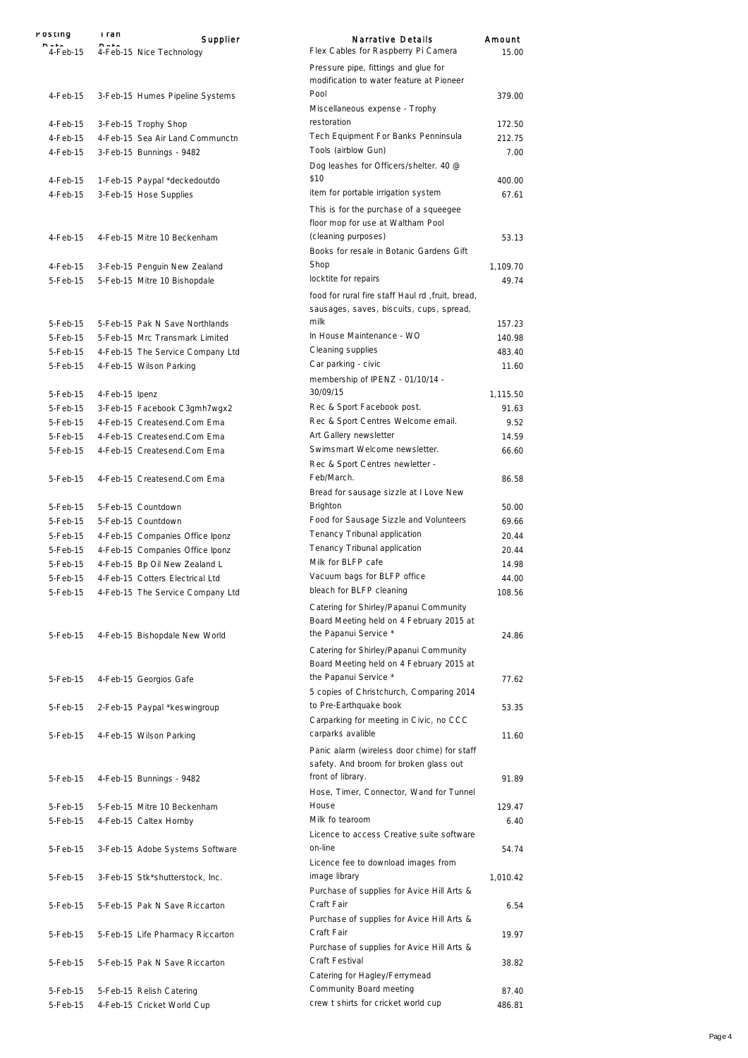| rosung               | i ran          | Supplier                                                         | Narrative Details                                                                            | Amount   |
|----------------------|----------------|------------------------------------------------------------------|----------------------------------------------------------------------------------------------|----------|
| 4-Feb-15             | nusia          | 4-Feb-15 Nice Technology                                         | Flex Cables for Raspberry Pi Camera                                                          | 15.00    |
|                      |                |                                                                  | Pressure pipe, fittings and glue for<br>modification to water feature at Pioneer             |          |
| $4-Feh-15$           |                | 3-Feb-15 Humes Pipeline Systems                                  | Pool<br>Miscellaneous expense - Trophy                                                       | 379.00   |
| 4-Feb-15             |                | 3-Feb-15 Trophy Shop                                             | restoration                                                                                  | 172.50   |
| $4-Feb-15$           |                | 4-Feb-15 Sea Air Land Communctn                                  | Tech Equipment For Banks Penninsula                                                          | 212.75   |
| 4-Feb-15             |                | 3-Feb-15 Bunnings - 9482                                         | Tools (airblow Gun)<br>Dog leashes for Officers/shelter. 40 @                                | 7.00     |
|                      |                |                                                                  | \$10                                                                                         | 400.00   |
| 4-Feb-15<br>4-Feb-15 |                | 1-Feb-15 Paypal *deckedoutdo<br>3-Feb-15 Hose Supplies           | item for portable irrigation system                                                          | 67.61    |
|                      |                |                                                                  | This is for the purchase of a squeegee<br>floor mop for use at Waltham Pool                  |          |
| 4-Feb-15             |                | 4-Feb-15 Mitre 10 Beckenham                                      | (cleaning purposes)<br>Books for resale in Botanic Gardens Gift                              | 53.13    |
| 4-Feb-15             |                |                                                                  | Shop                                                                                         | 1,109.70 |
| 5-Feb-15             |                | 3-Feb-15 Penguin New Zealand                                     | locktite for repairs                                                                         | 49.74    |
|                      |                | 5-Feb-15 Mitre 10 Bishopdale                                     | food for rural fire staff Haul rd, fruit, bread,<br>sausages, saves, biscuits, cups, spread, |          |
| 5-Feb-15             |                | 5-Feb-15 Pak N Save Northlands                                   | milk                                                                                         | 157.23   |
| 5-Feb-15             |                | 5-Feb-15 Mrc Transmark Limited                                   | In House Maintenance - WO                                                                    | 140.98   |
| 5-Feb-15             |                | 4-Feb-15 The Service Company Ltd                                 | Cleaning supplies                                                                            | 483.40   |
| 5-Feb-15             |                | 4-Feb-15 Wilson Parking                                          | Car parking - civic                                                                          | 11.60    |
| 5-Feb-15             | 4-Feb-15 Ipenz |                                                                  | membership of IPENZ - 01/10/14 -<br>30/09/15                                                 | 1,115.50 |
| 5-Feb-15             |                | 3-Feb-15 Facebook C3gmh7wgx2                                     | Rec & Sport Facebook post.                                                                   | 91.63    |
| 5-Feb-15             |                | 4-Feb-15 Createsend.Com Ema                                      | Rec & Sport Centres Welcome email.                                                           | 9.52     |
| 5-Feb-15             |                | 4-Feb-15 Createsend.Com Ema                                      | Art Gallery newsletter                                                                       | 14.59    |
| 5-Feb-15             |                | 4-Feb-15 Createsend.Com Ema                                      | Swimsmart Welcome newsletter.                                                                | 66.60    |
| 5-Feb-15             |                | 4-Feb-15 Createsend.Com Ema                                      | Rec & Sport Centres newletter -<br>Feb/March.                                                | 86.58    |
|                      |                |                                                                  | Bread for sausage sizzle at I Love New                                                       |          |
| 5-Feb-15             |                | 5-Feb-15 Countdown                                               | Brighton                                                                                     | 50.00    |
| 5-Feb-15             |                | 5-Feb-15 Countdown                                               | Food for Sausage Sizzle and Volunteers                                                       | 69.66    |
| 5-Feb-15             |                | 4-Feb-15 Companies Office Iponz                                  | Tenancy Tribunal application                                                                 | 20.44    |
| 5-Feb-15             |                |                                                                  | Tenancy Tribunal application                                                                 | 20.44    |
| 5-Feb-15             |                | 4-Feb-15 Companies Office Iponz<br>4-Feb-15 Bp Oil New Zealand L | Milk for BLFP cafe                                                                           | 14.98    |
|                      |                |                                                                  | Vacuum bags for BLFP office                                                                  |          |
| 5-Feb-15             |                | 4-Feb-15 Cotters Electrical Ltd                                  | bleach for BLFP cleaning                                                                     | 44.00    |
| 5-Feb-15             |                | 4-Feb-15 The Service Company Ltd                                 | Catering for Shirley/Papanui Community<br>Board Meeting held on 4 February 2015 at           | 108.56   |
| 5-Feb-15             |                | 4-Feb-15 Bishopdale New World                                    | the Papanui Service *                                                                        | 24.86    |
|                      |                |                                                                  | Catering for Shirley/Papanui Community<br>Board Meeting held on 4 February 2015 at           |          |
| 5-Feb-15             |                | 4-Feb-15 Georgios Gafe                                           | the Papanui Service *                                                                        | 77.62    |
| 5-Feb-15             |                | 2-Feb-15 Paypal *keswingroup                                     | 5 copies of Christchurch, Comparing 2014<br>to Pre-Earthquake book                           | 53.35    |
|                      |                |                                                                  | Carparking for meeting in Civic, no CCC                                                      |          |
| 5-Feb-15             |                | 4-Feb-15 Wilson Parking                                          | carparks avalible                                                                            | 11.60    |
|                      |                |                                                                  | Panic alarm (wireless door chime) for staff<br>safety. And broom for broken glass out        |          |
| 5-Feb-15             |                | 4-Feb-15 Bunnings - 9482                                         | front of library.<br>Hose, Timer, Connector, Wand for Tunnel                                 | 91.89    |
| 5-Feb-15             |                | 5-Feb-15 Mitre 10 Beckenham                                      | House                                                                                        | 129.47   |
| 5-Feb-15             |                | 4-Feb-15 Caltex Hornby                                           | Milk fo tearoom<br>Licence to access Creative suite software                                 | 6.40     |
| 5-Feb-15             |                | 3-Feb-15 Adobe Systems Software                                  | on-line<br>Licence fee to download images from                                               | 54.74    |
| 5-Feb-15             |                | 3-Feb-15 Stk*shutterstock, Inc.                                  | image library<br>Purchase of supplies for Avice Hill Arts &                                  | 1,010.42 |
| 5-Feb-15             |                | 5-Feb-15 Pak N Save Riccarton                                    | Craft Fair<br>Purchase of supplies for Avice Hill Arts &                                     | 6.54     |
| 5-Feb-15             |                | 5-Feb-15 Life Pharmacy Riccarton                                 | Craft Fair<br>Purchase of supplies for Avice Hill Arts &                                     | 19.97    |
| 5-Feb-15             |                | 5-Feb-15 Pak N Save Riccarton                                    | Craft Festival<br>Catering for Hagley/Ferrymead                                              | 38.82    |
| 5-Feb-15             |                | 5-Feb-15 Relish Catering                                         | Community Board meeting                                                                      | 87.40    |
| 5-Feb-15             |                | 4-Feb-15 Cricket World Cup                                       | crew t shirts for cricket world cup                                                          | 486.81   |
|                      |                |                                                                  |                                                                                              |          |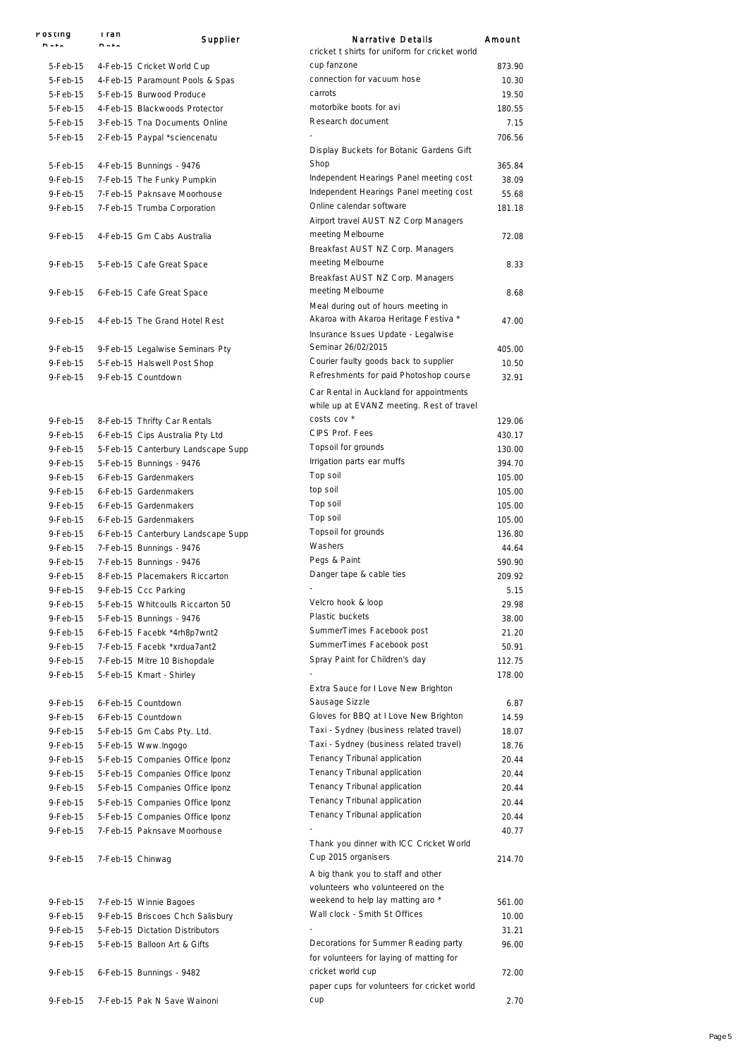| POSHING              | i ran<br><b>DAL-</b> | Supplier                                          | Narrative Details                                                                                    | Amount         |
|----------------------|----------------------|---------------------------------------------------|------------------------------------------------------------------------------------------------------|----------------|
| 5-Feb-15             |                      | 4-Feb-15 Cricket World Cup                        | cricket t shirts for uniform for cricket world<br>cup fanzone                                        | 873.90         |
| 5-Feb-15             |                      | 4-Feb-15 Paramount Pools & Spas                   | connection for vacuum hose                                                                           | 10.30          |
| 5-Feb-15             |                      | 5-Feb-15 Burwood Produce                          | carrots                                                                                              | 19.50          |
| 5-Feb-15             |                      | 4-Feb-15 Blackwoods Protector                     | motorbike boots for avi                                                                              | 180.55         |
| 5-Feb-15             |                      | 3-Feb-15 Tna Documents Online                     | Research document                                                                                    | 7.15           |
| 5-Feb-15             |                      | 2-Feb-15 Paypal *sciencenatu                      |                                                                                                      | 706.56         |
|                      |                      |                                                   | Display Buckets for Botanic Gardens Gift<br>Shop                                                     |                |
| 5-Feb-15             |                      | 4-Feb-15 Bunnings - 9476                          | Independent Hearings Panel meeting cost                                                              | 365.84         |
| 9-Feb-15             |                      | 7-Feb-15 The Funky Pumpkin                        | Independent Hearings Panel meeting cost                                                              | 38.09          |
| $9-Feh-15$           |                      | 7-Feb-15 Paknsave Moorhouse                       | Online calendar software                                                                             | 55.68          |
| 9-Feb-15             |                      | 7-Feb-15 Trumba Corporation                       | Airport travel AUST NZ Corp Managers                                                                 | 181.18         |
| 9-Feb-15             |                      | 4-Feb-15 Gm Cabs Australia                        | meeting Melbourne<br>Breakfast AUST NZ Corp. Managers                                                | 72.08          |
| 9-Feb-15             |                      | 5-Feb-15 Cafe Great Space                         | meeting Melbourne<br>Breakfast AUST NZ Corp. Managers                                                | 8.33           |
| 9-Feb-15             |                      | 6-Feb-15 Cafe Great Space                         | meeting Melbourne<br>Meal during out of hours meeting in                                             | 8.68           |
| 9-Feb-15             |                      | 4-Feb-15 The Grand Hotel Rest                     | Akaroa with Akaroa Heritage Festiva *                                                                | 47.00          |
|                      |                      |                                                   | Insurance Issues Update - Legalwise                                                                  |                |
| 9-Feb-15             |                      | 9-Feb-15 Legalwise Seminars Pty                   | Seminar 26/02/2015<br>Courier faulty goods back to supplier                                          | 405.00         |
| 9-Feb-15<br>9-Feb-15 |                      | 5-Feb-15 Halswell Post Shop<br>9-Feb-15 Countdown | Refreshments for paid Photoshop course                                                               | 10.50<br>32.91 |
|                      |                      |                                                   | Car Rental in Auckland for appointments<br>while up at EVANZ meeting. Rest of travel                 |                |
| 9-Feb-15             |                      | 8-Feb-15 Thrifty Car Rentals                      | costs cov *                                                                                          | 129.06         |
| 9-Feb-15             |                      | 6-Feb-15 Cips Australia Pty Ltd                   | CIPS Prof. Fees                                                                                      | 430.17         |
| 9-Feb-15             |                      | 5-Feb-15 Canterbury Landscape Supp                | Topsoil for grounds                                                                                  | 130.00         |
| 9-Feb-15             |                      | 5-Feb-15 Bunnings - 9476                          | Irrigation parts ear muffs                                                                           | 394.70         |
| 9-Feb-15             |                      | 6-Feb-15 Gardenmakers                             | Top soil                                                                                             | 105.00         |
| 9-Feb-15             |                      | 6-Feb-15 Gardenmakers                             | top soil                                                                                             | 105.00         |
| 9-Feb-15             |                      | 6-Feb-15 Gardenmakers                             | Top soil                                                                                             | 105.00         |
| 9-Feb-15             |                      | 6-Feb-15 Gardenmakers                             | Top soil                                                                                             | 105.00         |
| 9-Feb-15             |                      | 6-Feb-15 Canterbury Landscape Supp                | Topsoil for grounds                                                                                  | 136.80         |
| 9-Feb-15             |                      | 7-Feb-15 Bunnings - 9476                          | Washers                                                                                              | 44.64          |
| 9-Feb-15             |                      | 7-Feb-15 Bunnings - 9476                          | Pegs & Paint                                                                                         | 590.90         |
| $9-Feh-15$           |                      | 8-Feb-15 Placemakers Riccarton                    | Danger tape & cable ties                                                                             | 209.92         |
| 9-Feb-15             |                      | 9-Feb-15 Ccc Parking                              |                                                                                                      | 5.15           |
| 9-Feb-15             |                      | 5-Feb-15 Whitcoulls Riccarton 50                  | Velcro hook & loop                                                                                   | 29.98          |
| 9-Feb-15             |                      | 5-Feb-15 Bunnings - 9476                          | Plastic buckets                                                                                      | 38.00          |
| 9-Feb-15             |                      | 6-Feb-15 Facebk *4rh8p7wnt2                       | SummerTimes Facebook post                                                                            | 21.20          |
| 9-Feb-15             |                      | 7-Feb-15 Facebk *xrdua7ant2                       | SummerTimes Facebook post                                                                            | 50.91          |
| 9-Feb-15             |                      | 7-Feb-15 Mitre 10 Bishopdale                      | Spray Paint for Children's day                                                                       | 112.75         |
| 9-Feb-15             |                      | 5-Feb-15 Kmart - Shirley                          | Extra Sauce for I Love New Brighton                                                                  | 178.00         |
| 9-Feb-15             |                      | 6-Feb-15 Countdown                                | Sausage Sizzle                                                                                       | 6.87           |
| 9-Feb-15             |                      | 6-Feb-15 Countdown                                | Gloves for BBQ at I Love New Brighton                                                                | 14.59          |
| 9-Feb-15             |                      | 5-Feb-15 Gm Cabs Pty. Ltd.                        | Taxi - Sydney (business related travel)                                                              | 18.07          |
| 9-Feb-15             |                      | 5-Feb-15 Www.Ingogo                               | Taxi - Sydney (business related travel)                                                              | 18.76          |
| 9-Feb-15             |                      | 5-Feb-15 Companies Office Iponz                   | Tenancy Tribunal application                                                                         | 20.44          |
| 9-Feb-15             |                      | 5-Feb-15 Companies Office Iponz                   | Tenancy Tribunal application                                                                         | 20.44          |
| 9-Feb-15             |                      | 5-Feb-15 Companies Office Iponz                   | Tenancy Tribunal application                                                                         | 20.44          |
| 9-Feb-15             |                      | 5-Feb-15 Companies Office Iponz                   | Tenancy Tribunal application                                                                         | 20.44          |
| 9-Feb-15             |                      | 5-Feb-15 Companies Office Iponz                   | Tenancy Tribunal application                                                                         | 20.44          |
| 9-Feb-15             |                      | 7-Feb-15 Paknsave Moorhouse                       |                                                                                                      | 40.77          |
| 9-Feb-15             | 7-Feb-15 Chinwag     |                                                   | Thank you dinner with ICC Cricket World<br>Cup 2015 organisers<br>A big thank you to staff and other | 214.70         |
|                      |                      |                                                   | volunteers who volunteered on the                                                                    |                |
| 9-Feb-15             |                      | 7-Feb-15 Winnie Bagoes                            | weekend to help lay matting aro *                                                                    | 561.00         |
| 9-Feb-15             |                      | 9-Feb-15 Briscoes Chch Salisbury                  | Wall clock - Smith St Offices                                                                        | 10.00          |
| 9-Feb-15             |                      | 5-Feb-15 Dictation Distributors                   |                                                                                                      | 31.21          |
| 9-Feb-15             |                      | 5-Feb-15 Balloon Art & Gifts                      | Decorations for Summer Reading party<br>for volunteers for laying of matting for                     | 96.00          |
| 9-Feb-15             |                      | 6-Feb-15 Bunnings - 9482                          | cricket world cup<br>paper cups for volunteers for cricket world                                     | 72.00          |
| 9-Feb-15             |                      | 7-Feb-15 Pak N Save Wainoni                       | cup                                                                                                  | 2.70           |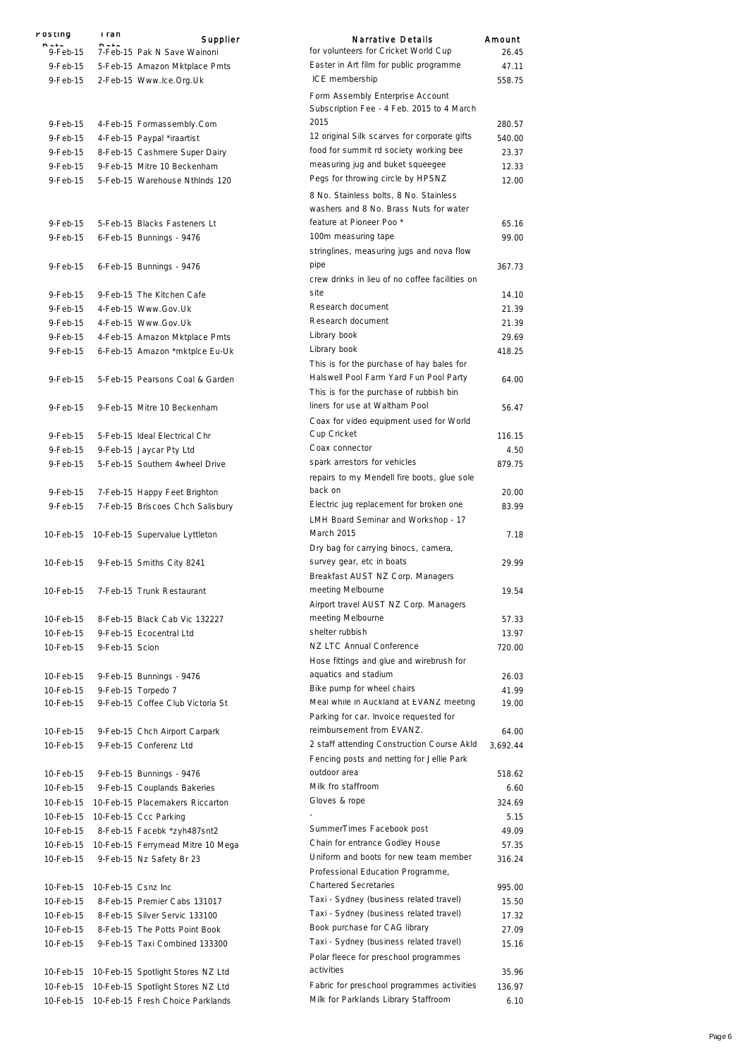| POSTING                | i ran              | Supplier                                                         | <b>Narrative Details</b>                                                         | Amount         |
|------------------------|--------------------|------------------------------------------------------------------|----------------------------------------------------------------------------------|----------------|
| 9-Feb-15               |                    | 7-Feb-15 Pak N Save Wainoni                                      | for volunteers for Cricket World Cup                                             | 26.45          |
| $9-Feb-15$             |                    | 5-Feb-15 Amazon Mktplace Pmts                                    | Easter in Art film for public programme                                          | 47.11          |
| 9-Feb-15               |                    | 2-Feb-15 Www.lce.Org.Uk                                          | ICE membership                                                                   | 558.75         |
|                        |                    |                                                                  | Form Assembly Enterprise Account                                                 |                |
|                        |                    |                                                                  | Subscription Fee - 4 Feb. 2015 to 4 March                                        |                |
| $9-Feb-15$             |                    | 4-Feb-15 Formassembly.Com                                        | 2015                                                                             | 280.57         |
| 9-Feb-15               |                    | 4-Feb-15 Paypal *iraartist                                       | 12 original Silk scarves for corporate gifts                                     | 540.00         |
| 9-Feb-15               |                    | 8-Feb-15 Cashmere Super Dairy                                    | food for summit rd society working bee                                           | 23.37          |
| 9-Feb-15               |                    | 9-Feb-15 Mitre 10 Beckenham                                      | measuring jug and buket squeegee                                                 | 12.33          |
| 9-Feb-15               |                    | 5-Feb-15 Warehouse Nthinds 120                                   | Pegs for throwing circle by HPSNZ                                                | 12.00          |
|                        |                    |                                                                  | 8 No. Stainless bolts, 8 No. Stainless<br>washers and 8 No. Brass Nuts for water |                |
| 9-Feb-15               |                    | 5-Feb-15 Blacks Fasteners Lt                                     | feature at Pioneer Poo*                                                          | 65.16          |
| 9-Feb-15               |                    | 6-Feb-15 Bunnings - 9476                                         | 100m measuring tape                                                              | 99.00          |
|                        |                    |                                                                  | stringlines, measuring jugs and nova flow                                        |                |
| 9-Feb-15               |                    | 6-Feb-15 Bunnings - 9476                                         | pipe<br>crew drinks in lieu of no coffee facilities on                           | 367.73         |
| 9-Feb-15               |                    | 9-Feb-15 The Kitchen Cafe                                        | site                                                                             | 14.10          |
| $9-Feb-15$             |                    | 4-Feb-15 Www.Gov.Uk                                              | Research document                                                                | 21.39          |
| 9-Feb-15               |                    | 4-Feb-15 Www.Gov.Uk                                              | Research document                                                                | 21.39          |
| 9-Feb-15               |                    | 4-Feb-15 Amazon Mktplace Pmts                                    | Library book                                                                     | 29.69          |
| 9-Feb-15               |                    | 6-Feb-15 Amazon *mktplce Eu-Uk                                   | Library book                                                                     | 418.25         |
|                        |                    |                                                                  | This is for the purchase of hay bales for                                        |                |
| 9-Feb-15               |                    | 5-Feb-15 Pearsons Coal & Garden                                  | Halswell Pool Farm Yard Fun Pool Party                                           | 64.00          |
|                        |                    |                                                                  | This is for the purchase of rubbish bin<br>liners for use at Waltham Pool        |                |
| 9-Feb-15               |                    | 9-Feb-15 Mitre 10 Beckenham                                      |                                                                                  | 56.47          |
|                        |                    |                                                                  | Coax for video equipment used for World<br>Cup Cricket                           |                |
| $9-Feb-15$             |                    | 5-Feb-15 Ideal Electrical Chr                                    | Coax connector                                                                   | 116.15         |
| 9-Feb-15<br>$9-Feb-15$ |                    | 9-Feb-15 Jaycar Pty Ltd<br>5-Feb-15 Southern 4wheel Drive        | spark arrestors for vehicles                                                     | 4.50<br>879.75 |
|                        |                    |                                                                  | repairs to my Mendell fire boots, glue sole                                      |                |
| 9-Feb-15               |                    |                                                                  | back on                                                                          | 20.00          |
| 9-Feb-15               |                    | 7-Feb-15 Happy Feet Brighton<br>7-Feb-15 Briscoes Chch Salisbury | Electric jug replacement for broken one                                          | 83.99          |
|                        |                    |                                                                  | LMH Board Seminar and Workshop - 17                                              |                |
|                        |                    | 10-Feb-15 10-Feb-15 Supervalue Lyttleton                         | March 2015                                                                       | 7.18           |
|                        |                    |                                                                  | Dry bag for carrying binocs, camera,                                             |                |
| 10-Feb-15              |                    | 9-Feb-15 Smiths City 8241                                        | survey gear, etc in boats                                                        | 29.99          |
|                        |                    |                                                                  | Breakfast AUST NZ Corp. Managers                                                 |                |
| 10-Feb-15              |                    | 7-Feb-15 Trunk Restaurant                                        | meeting Melbourne                                                                | 19.54          |
|                        |                    |                                                                  | Airport travel AUST NZ Corp. Managers                                            |                |
| 10-Feb-15              |                    | 8-Feb-15 Black Cab Vic 132227                                    | meeting Melbourne                                                                | 57.33          |
| 10-Feb-15              |                    | 9-Feb-15 Ecocentral Ltd                                          | shelter rubbish                                                                  | 13.97          |
| 10-Feb-15              | 9-Feb-15 Scion     |                                                                  | NZ LTC Annual Conference                                                         | 720.00         |
|                        |                    |                                                                  | Hose fittings and glue and wirebrush for                                         |                |
| 10-Feb-15              |                    | 9-Feb-15 Bunnings - 9476                                         | aquatics and stadium                                                             | 26.03          |
| 10-Feb-15              |                    | 9-Feb-15 Torpedo 7                                               | Bike pump for wheel chairs                                                       | 41.99          |
| 10-Feb-15              |                    | 9-Feb-15 Coffee Club Victoria St                                 | Meal while in Auckland at EVANZ meeting                                          | 19.00          |
|                        |                    |                                                                  | Parking for car. Invoice requested for                                           |                |
| 10-Feb-15              |                    | 9-Feb-15 Chch Airport Carpark                                    | reimbursement from EVANZ.                                                        | 64.00          |
| 10-Feb-15              |                    | 9-Feb-15 Conferenz Ltd                                           | 2 staff attending Construction Course Akld                                       | 3,692.44       |
|                        |                    |                                                                  | Fencing posts and netting for Jellie Park                                        |                |
| 10-Feb-15              |                    | 9-Feb-15 Bunnings - 9476                                         | outdoor area                                                                     | 518.62         |
| 10-Feb-15              |                    | 9-Feb-15 Couplands Bakeries                                      | Milk fro staffroom                                                               | 6.60           |
| 10-Feb-15              |                    | 10-Feb-15 Placemakers Riccarton                                  | Gloves & rope                                                                    | 324.69         |
| 10-Feb-15              |                    | 10-Feb-15 Ccc Parking                                            |                                                                                  | 5.15           |
| 10-Feb-15              |                    | 8-Feb-15 Facebk *zyh487snt2                                      | SummerTimes Facebook post                                                        | 49.09          |
| 10-Feb-15              |                    | 10-Feb-15 Ferrymead Mitre 10 Mega                                | Chain for entrance Godley House                                                  | 57.35          |
| 10-Feb-15              |                    | 9-Feb-15 Nz Safety Br 23                                         | Uniform and boots for new team member<br>Professional Education Programme,       | 316.24         |
| 10-Feb-15              | 10-Feb-15 Csnz Inc |                                                                  | <b>Chartered Secretaries</b>                                                     | 995.00         |
| 10-Feb-15              |                    | 8-Feb-15 Premier Cabs 131017                                     | Taxi - Sydney (business related travel)                                          | 15.50          |
| 10-Feb-15              |                    | 8-Feb-15 Silver Servic 133100                                    | Taxi - Sydney (business related travel)                                          | 17.32          |
| 10-Feb-15              |                    | 8-Feb-15 The Potts Point Book                                    | Book purchase for CAG library                                                    | 27.09          |
| 10-Feb-15              |                    | 9-Feb-15 Taxi Combined 133300                                    | Taxi - Sydney (business related travel)                                          | 15.16          |
|                        |                    |                                                                  | Polar fleece for preschool programmes                                            |                |
| 10-Feb-15              |                    | 10-Feb-15 Spotlight Stores NZ Ltd                                | activities                                                                       | 35.96          |
| 10-Feb-15              |                    | 10-Feb-15 Spotlight Stores NZ Ltd                                | Fabric for preschool programmes activities                                       | 136.97         |
| 10-Feb-15              |                    | 10-Feb-15 Fresh Choice Parklands                                 | Milk for Parklands Library Staffroom                                             | 6.10           |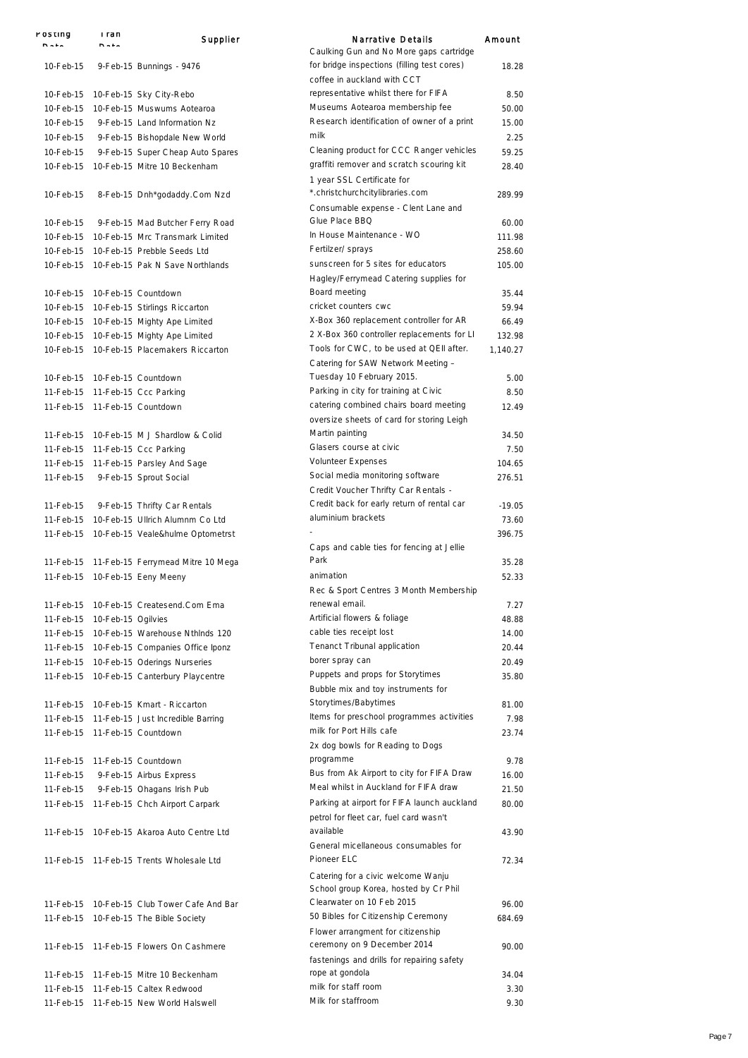| POSTING                | rran<br><b>DAL-</b> | Supplier                                                                                | <b>Narrative Details</b>                                                           | Amount           |
|------------------------|---------------------|-----------------------------------------------------------------------------------------|------------------------------------------------------------------------------------|------------------|
|                        |                     |                                                                                         | Caulking Gun and No More gaps cartridge                                            |                  |
| 10-Feb-15              |                     | 9-Feb-15 Bunnings - 9476                                                                | for bridge inspections (filling test cores)                                        | 18.28            |
|                        |                     |                                                                                         | coffee in auckland with CCT<br>representative whilst there for FIFA                |                  |
| 10-Feb-15<br>10-Feb-15 |                     | 10-Feb-15 Sky City-Rebo<br>10-Feb-15 Muswums Aotearoa                                   | Museums Aotearoa membership fee                                                    | 8.50<br>50.00    |
| 10-Feb-15              |                     | 9-Feb-15 Land Information Nz                                                            | Research identification of owner of a print                                        | 15.00            |
| 10-Feb-15              |                     | 9-Feb-15 Bishopdale New World                                                           | milk                                                                               | 2.25             |
| 10-Feb-15              |                     | 9-Feb-15 Super Cheap Auto Spares                                                        | Cleaning product for CCC Ranger vehicles                                           | 59.25            |
| 10-Feb-15              |                     | 10-Feb-15 Mitre 10 Beckenham                                                            | graffiti remover and scratch scouring kit                                          | 28.40            |
|                        |                     |                                                                                         | 1 year SSL Certificate for                                                         |                  |
| 10-Feb-15              |                     | 8-Feb-15 Dnh*godaddy.Com Nzd                                                            | *.christchurchcitylibraries.com                                                    | 289.99           |
|                        |                     |                                                                                         | Consumable expense - Clent Lane and                                                |                  |
| 10-Feb-15              |                     | 9-Feb-15 Mad Butcher Ferry Road                                                         | Glue Place BBQ<br>In House Maintenance - WO                                        | 60.00            |
|                        |                     | 10-Feb-15 10-Feb-15 Mrc Transmark Limited<br>10-Feb-15 10-Feb-15 Prebble Seeds Ltd      | Fertilzer/ sprays                                                                  | 111.98<br>258.60 |
|                        |                     | 10-Feb-15 10-Feb-15 Pak N Save Northlands                                               | sunscreen for 5 sites for educators                                                | 105.00           |
|                        |                     |                                                                                         | Hagley/Ferrymead Catering supplies for                                             |                  |
|                        |                     | 10-Feb-15 10-Feb-15 Countdown                                                           | Board meeting                                                                      | 35.44            |
|                        |                     | 10-Feb-15 10-Feb-15 Stirlings Riccarton                                                 | cricket counters cwc                                                               | 59.94            |
|                        |                     | 10-Feb-15 10-Feb-15 Mighty Ape Limited                                                  | X-Box 360 replacement controller for AR                                            | 66.49            |
|                        |                     | 10-Feb-15 10-Feb-15 Mighty Ape Limited                                                  | 2 X-Box 360 controller replacements for LI                                         | 132.98           |
| $10-Feb-15$            |                     | 10-Feb-15 Placemakers Riccarton                                                         | Tools for CWC, to be used at QEII after.                                           | 1,140.27         |
|                        |                     |                                                                                         | Catering for SAW Network Meeting -                                                 |                  |
|                        |                     | 10-Feb-15 10-Feb-15 Countdown                                                           | Tuesday 10 February 2015.<br>Parking in city for training at Civic                 | 5.00<br>8.50     |
|                        |                     | 11-Feb-15 11-Feb-15 Ccc Parking<br>11-Feb-15 11-Feb-15 Countdown                        | catering combined chairs board meeting                                             | 12.49            |
|                        |                     |                                                                                         | oversize sheets of card for storing Leigh                                          |                  |
|                        |                     | 11-Feb-15 10-Feb-15 M J Shardlow & Colid                                                | Martin painting                                                                    | 34.50            |
|                        |                     | 11-Feb-15 11-Feb-15 Ccc Parking                                                         | Glasers course at civic                                                            | 7.50             |
|                        |                     | 11-Feb-15 11-Feb-15 Parsley And Sage                                                    | Volunteer Expenses                                                                 | 104.65           |
| 11-Feb-15              |                     | 9-Feb-15 Sprout Social                                                                  | Social media monitoring software                                                   | 276.51           |
|                        |                     |                                                                                         | Credit Voucher Thrifty Car Rentals -                                               |                  |
| 11-Feb-15              |                     | 9-Feb-15 Thrifty Car Rentals                                                            | Credit back for early return of rental car<br>aluminium brackets                   | $-19.05$         |
|                        |                     | 11-Feb-15 10-Feb-15 Ullrich Alumnm Co Ltd<br>11-Feb-15 10-Feb-15 Veale&hulme Optometrst |                                                                                    | 73.60<br>396.75  |
|                        |                     |                                                                                         | Caps and cable ties for fencing at Jellie                                          |                  |
|                        |                     | 11-Feb-15 11-Feb-15 Ferrymead Mitre 10 Mega                                             | Park                                                                               | 35.28            |
|                        |                     | 11-Feb-15 10-Feb-15 Eeny Meeny                                                          | animation                                                                          | 52.33            |
|                        |                     |                                                                                         | Rec & Sport Centres 3 Month Membership                                             |                  |
|                        |                     | 11-Feb-15 10-Feb-15 Createsend.Com Ema                                                  | renewal email.                                                                     | 7.27             |
| 11-Feb-15              | 10-Feb-15 Ogilvies  |                                                                                         | Artificial flowers & foliage                                                       | 48.88            |
|                        |                     | 11-Feb-15 10-Feb-15 Warehouse Nthinds 120                                               | cable ties receipt lost                                                            | 14.00            |
|                        |                     | 11-Feb-15 10-Feb-15 Companies Office Iponz                                              | Tenanct Tribunal application<br>borer spray can                                    | 20.44<br>20.49   |
|                        |                     | 11-Feb-15 10-Feb-15 Oderings Nurseries<br>11-Feb-15 10-Feb-15 Canterbury Playcentre     | Puppets and props for Storytimes                                                   | 35.80            |
|                        |                     |                                                                                         | Bubble mix and toy instruments for                                                 |                  |
|                        |                     | 11-Feb-15 10-Feb-15 Kmart - Riccarton                                                   | Storytimes/Babytimes                                                               | 81.00            |
|                        |                     | 11-Feb-15 11-Feb-15 Just Incredible Barring                                             | Items for preschool programmes activities                                          | 7.98             |
|                        |                     | 11-Feb-15 11-Feb-15 Countdown                                                           | milk for Port Hills cafe                                                           | 23.74            |
|                        |                     |                                                                                         | 2x dog bowls for Reading to Dogs                                                   |                  |
|                        |                     | 11-Feb-15 11-Feb-15 Countdown                                                           | programme                                                                          | 9.78             |
| 11-Feb-15              |                     | 9-Feb-15 Airbus Express                                                                 | Bus from Ak Airport to city for FIFA Draw<br>Meal whilst in Auckland for FIFA draw | 16.00            |
| 11-Feb-15              |                     | 9-Feb-15 Ohagans Irish Pub<br>11-Feb-15 11-Feb-15 Chch Airport Carpark                  | Parking at airport for FIFA launch auckland                                        | 21.50<br>80.00   |
|                        |                     |                                                                                         | petrol for fleet car, fuel card wasn't                                             |                  |
|                        |                     | 11-Feb-15 10-Feb-15 Akaroa Auto Centre Ltd                                              | available                                                                          | 43.90            |
|                        |                     |                                                                                         | General micellaneous consumables for                                               |                  |
|                        |                     | 11-Feb-15 11-Feb-15 Trents Wholesale Ltd                                                | Pioneer ELC                                                                        | 72.34            |
|                        |                     |                                                                                         | Catering for a civic welcome Wanju                                                 |                  |
|                        |                     |                                                                                         | School group Korea, hosted by Cr Phil                                              |                  |
|                        |                     | 11-Feb-15 10-Feb-15 Club Tower Cafe And Bar                                             | Clearwater on 10 Feb 2015                                                          | 96.00            |
|                        |                     | 11-Feb-15 10-Feb-15 The Bible Society                                                   | 50 Bibles for Citizenship Ceremony                                                 | 684.69           |
|                        |                     |                                                                                         | Flower arrangment for citizenship<br>ceremony on 9 December 2014                   |                  |
|                        |                     | 11-Feb-15 11-Feb-15 Flowers On Cashmere                                                 | fastenings and drills for repairing safety                                         | 90.00            |
|                        |                     | 11-Feb-15 11-Feb-15 Mitre 10 Beckenham                                                  | rope at gondola                                                                    | 34.04            |
|                        |                     | 11-Feb-15 11-Feb-15 Caltex Redwood                                                      | milk for staff room                                                                | 3.30             |
|                        |                     | 11-Feb-15 11-Feb-15 New World Halswell                                                  | Milk for staffroom                                                                 | 9.30             |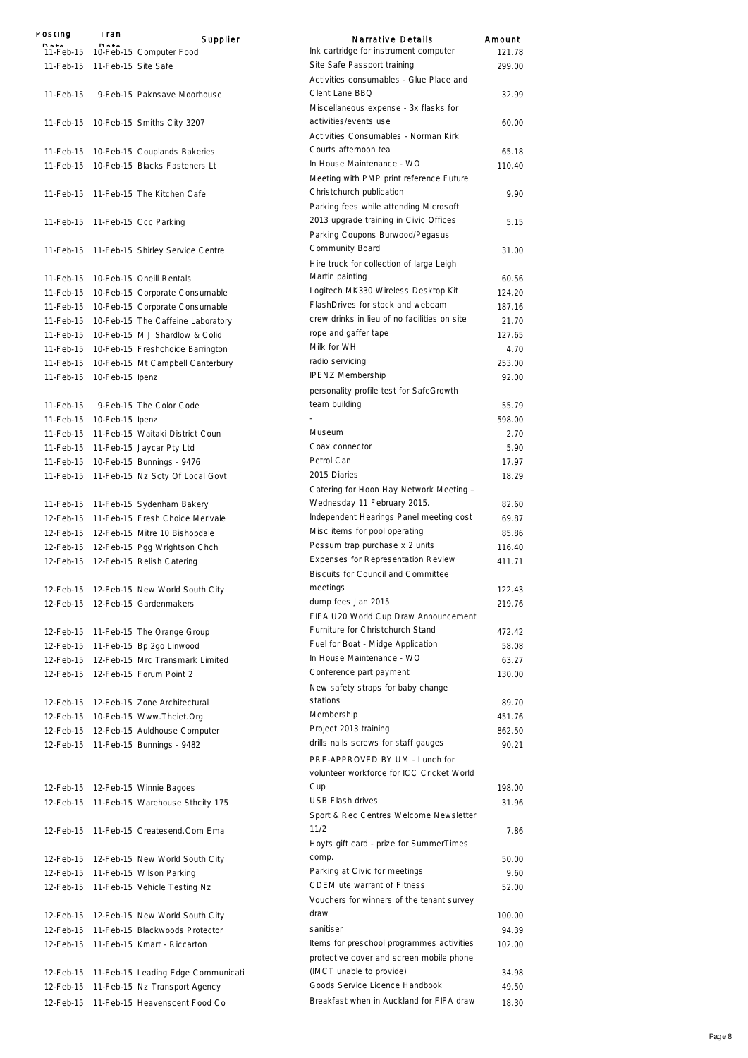| rusuny    | i ran<br>$P = 1$              | Supplier                                   | Narrative Details                            | Amount |
|-----------|-------------------------------|--------------------------------------------|----------------------------------------------|--------|
|           |                               | 11-Feb-15 10-Feb-15 Computer Food          | Ink cartridge for instrument computer        | 121.78 |
|           | 11-Feb-15 11-Feb-15 Site Safe |                                            | Site Safe Passport training                  | 299.00 |
|           |                               |                                            | Activities consumables - Glue Place and      |        |
| 11-Feb-15 |                               | 9-Feb-15 Paknsave Moorhouse                | Clent Lane BBQ                               | 32.99  |
|           |                               |                                            | Miscellaneous expense - 3x flasks for        |        |
|           |                               | 11-Feb-15 10-Feb-15 Smiths City 3207       | activities/events use                        | 60.00  |
|           |                               |                                            | Activities Consumables - Norman Kirk         |        |
|           |                               |                                            | Courts afternoon tea                         | 65.18  |
|           |                               | 11-Feb-15 10-Feb-15 Couplands Bakeries     | In House Maintenance - WO                    | 110.40 |
|           |                               | 11-Feb-15 10-Feb-15 Blacks Fasteners Lt    | Meeting with PMP print reference Future      |        |
|           |                               |                                            |                                              |        |
|           |                               | 11-Feb-15 11-Feb-15 The Kitchen Cafe       | Christchurch publication                     | 9.90   |
|           |                               |                                            | Parking fees while attending Microsoft       |        |
|           |                               | 11-Feb-15 11-Feb-15 Ccc Parking            | 2013 upgrade training in Civic Offices       | 5.15   |
|           |                               |                                            | Parking Coupons Burwood/Pegasus              |        |
|           |                               | 11-Feb-15 11-Feb-15 Shirley Service Centre | Community Board                              | 31.00  |
|           |                               |                                            | Hire truck for collection of large Leigh     |        |
|           |                               | 11-Feb-15 10-Feb-15 Oneill Rentals         | Martin painting                              | 60.56  |
| 11-Feb-15 |                               | 10-Feb-15 Corporate Consumable             | Logitech MK330 Wireless Desktop Kit          | 124.20 |
| 11-Feb-15 |                               | 10-Feb-15 Corporate Consumable             | FlashDrives for stock and webcam             | 187.16 |
| 11-Feb-15 |                               | 10-Feb-15 The Caffeine Laboratory          | crew drinks in lieu of no facilities on site | 21.70  |
| 11-Feb-15 |                               | 10-Feb-15 M J Shardlow & Colid             | rope and gaffer tape                         | 127.65 |
| 11-Feb-15 |                               | 10-Feb-15 Freshchoice Barrington           | Milk for WH                                  | 4.70   |
| 11-Feb-15 |                               | 10-Feb-15 Mt Campbell Canterbury           | radio servicing                              | 253.00 |
| 11-Feb-15 | 10-Feb-15 lpenz               |                                            | <b>IPENZ Membership</b>                      | 92.00  |
|           |                               |                                            | personality profile test for SafeGrowth      |        |
| 11-Feb-15 |                               | 9-Feb-15 The Color Code                    | team building                                | 55.79  |
|           |                               |                                            |                                              | 598.00 |
|           | 11-Feb-15  10-Feb-15  lpenz   |                                            | Museum                                       |        |
| 11-Feb-15 |                               | 11-Feb-15 Waitaki District Coun            | Coax connector                               | 2.70   |
|           |                               | 11-Feb-15 11-Feb-15 Jaycar Pty Ltd         | Petrol Can                                   | 5.90   |
| 11-Feb-15 |                               | 10-Feb-15 Bunnings - 9476                  |                                              | 17.97  |
| 11-Feb-15 |                               | 11-Feb-15 Nz Scty Of Local Govt            | 2015 Diaries                                 | 18.29  |
|           |                               |                                            | Catering for Hoon Hay Network Meeting -      |        |
|           |                               | 11-Feb-15 11-Feb-15 Sydenham Bakery        | Wednesday 11 February 2015.                  | 82.60  |
| 12-Feb-15 |                               | 11-Feb-15 Fresh Choice Merivale            | Independent Hearings Panel meeting cost      | 69.87  |
|           |                               | 12-Feb-15 12-Feb-15 Mitre 10 Bishopdale    | Misc items for pool operating                | 85.86  |
|           |                               | 12-Feb-15 12-Feb-15 Pgg Wrightson Chch     | Possum trap purchase x 2 units               | 116.40 |
|           |                               | 12-Feb-15 12-Feb-15 Relish Catering        | <b>Expenses for Representation Review</b>    | 411.71 |
|           |                               |                                            | <b>Biscuits for Council and Committee</b>    |        |
| 12-Feb-15 |                               | 12-Feb-15 New World South City             | meetings                                     | 122.43 |
| 12-Feb-15 |                               | 12-Feb-15 Gardenmakers                     | dump fees Jan 2015                           | 219.76 |
|           |                               |                                            | FIFA U20 World Cup Draw Announcement         |        |
| 12-Feb-15 |                               | 11-Feb-15 The Orange Group                 | Furniture for Christchurch Stand             | 472.42 |
| 12-Feb-15 |                               | 11-Feb-15 Bp 2go Linwood                   | Fuel for Boat - Midge Application            | 58.08  |
| 12-Feb-15 |                               | 12-Feb-15 Mrc Transmark Limited            | In House Maintenance - WO                    | 63.27  |
|           |                               | 12-Feb-15 12-Feb-15 Forum Point 2          | Conference part payment                      | 130.00 |
|           |                               |                                            | New safety straps for baby change            |        |
|           |                               | 12-Feb-15 12-Feb-15 Zone Architectural     | stations                                     | 89.70  |
|           |                               | 12-Feb-15 10-Feb-15 Www.Theiet.Org         | Membership                                   | 451.76 |
|           |                               |                                            | Project 2013 training                        |        |
|           |                               | 12-Feb-15 12-Feb-15 Auldhouse Computer     | drills nails screws for staff gauges         | 862.50 |
|           |                               | 12-Feb-15  11-Feb-15  Bunnings - 9482      |                                              | 90.21  |
|           |                               |                                            | PRE-APPROVED BY UM - Lunch for               |        |
|           |                               |                                            | volunteer workforce for ICC Cricket World    |        |
|           |                               | 12-Feb-15 12-Feb-15 Winnie Bagoes          | Cup                                          | 198.00 |
|           |                               | 12-Feb-15 11-Feb-15 Warehouse Sthcity 175  | USB Flash drives                             | 31.96  |
|           |                               |                                            | Sport & Rec Centres Welcome Newsletter       |        |
|           |                               | 12-Feb-15 11-Feb-15 Createsend.Com Ema     | 11/2                                         | 7.86   |
|           |                               |                                            | Hoyts gift card - prize for SummerTimes      |        |
|           |                               | 12-Feb-15 12-Feb-15 New World South City   | comp.                                        | 50.00  |
| 12-Feb-15 |                               | 11-Feb-15 Wilson Parking                   | Parking at Civic for meetings                | 9.60   |
| 12-Feb-15 |                               | 11-Feb-15 Vehicle Testing Nz               | CDEM ute warrant of Fitness                  | 52.00  |
|           |                               |                                            | Vouchers for winners of the tenant survey    |        |
| 12-Feb-15 |                               | 12-Feb-15 New World South City             | draw                                         | 100.00 |
| 12-Feb-15 |                               | 11-Feb-15 Blackwoods Protector             | sanitiser                                    | 94.39  |
| 12-Feb-15 |                               | 11-Feb-15 Kmart - Riccarton                | Items for preschool programmes activities    | 102.00 |
|           |                               |                                            | protective cover and screen mobile phone     |        |
|           |                               |                                            | (IMCT unable to provide)                     |        |
| 12-Feb-15 |                               | 11-Feb-15 Leading Edge Communicati         | Goods Service Licence Handbook               | 34.98  |
| 12-Feb-15 |                               | 11-Feb-15 Nz Transport Agency              |                                              | 49.50  |
| 12-Feb-15 |                               | 11-Feb-15 Heavenscent Food Co              | Breakfast when in Auckland for FIFA draw     | 18.30  |
|           |                               |                                            |                                              |        |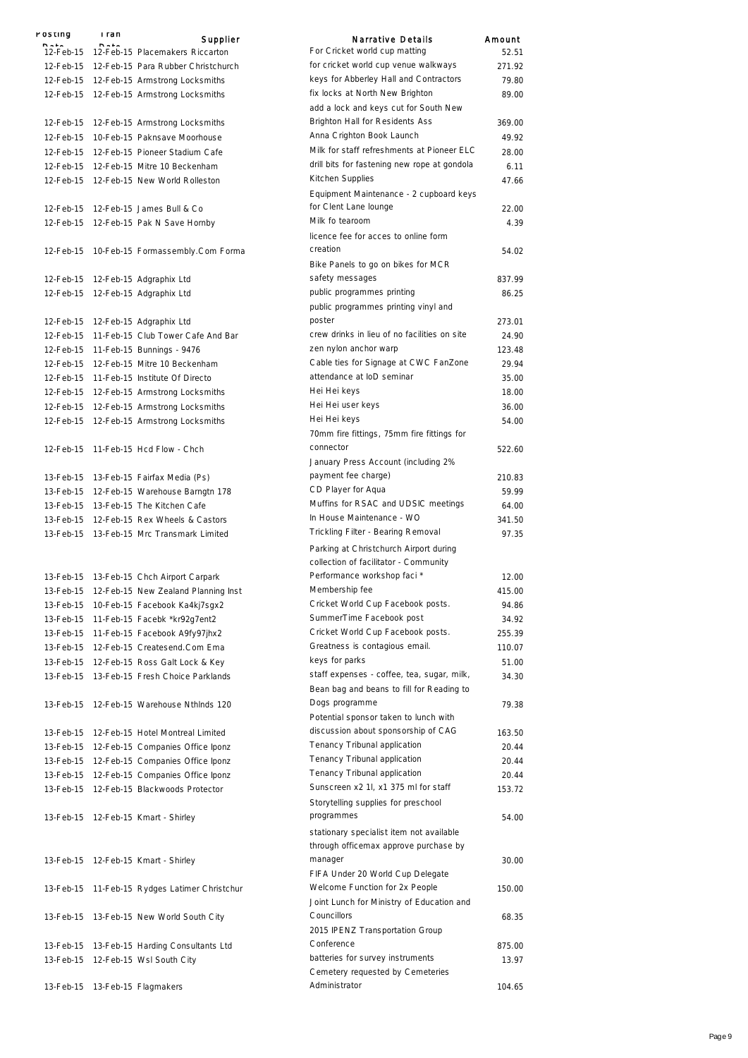| POSTING   | i ran | Supplier                                      | <b>Narrative Details</b>                                           | Amount |
|-----------|-------|-----------------------------------------------|--------------------------------------------------------------------|--------|
|           |       | 12-Feb-15 12-Feb-15 Placemakers Riccarton     | For Cricket world cup matting                                      | 52.51  |
|           |       | 12-Feb-15 12-Feb-15 Para Rubber Christchurch  | for cricket world cup venue walkways                               | 271.92 |
|           |       | 12-Feb-15 12-Feb-15 Armstrong Locksmiths      | keys for Abberley Hall and Contractors                             | 79.80  |
|           |       | 12-Feb-15 12-Feb-15 Armstrong Locksmiths      | fix locks at North New Brighton                                    | 89.00  |
|           |       |                                               | add a lock and keys cut for South New                              |        |
| 12-Feb-15 |       | 12-Feb-15 Armstrong Locksmiths                | <b>Brighton Hall for Residents Ass</b>                             | 369.00 |
| 12-Feb-15 |       | 10-Feb-15 Paknsave Moorhouse                  | Anna Crighton Book Launch                                          | 49.92  |
| 12-Feb-15 |       | 12-Feb-15 Pioneer Stadium Cafe                | Milk for staff refreshments at Pioneer ELC                         | 28.00  |
|           |       | 12-Feb-15 12-Feb-15 Mitre 10 Beckenham        | drill bits for fastening new rope at gondola                       | 6.11   |
|           |       | 12-Feb-15 12-Feb-15 New World Rolleston       | Kitchen Supplies                                                   | 47.66  |
|           |       |                                               | Equipment Maintenance - 2 cupboard keys                            |        |
|           |       | 12-Feb-15 12-Feb-15 James Bull & Co           | for Clent Lane lounge                                              | 22.00  |
|           |       | 12-Feb-15 12-Feb-15 Pak N Save Hornby         | Milk fo tearoom                                                    | 4.39   |
|           |       |                                               | licence fee for acces to online form                               |        |
|           |       | 12-Feb-15 10-Feb-15 Formassembly.Com Forma    | creation                                                           | 54.02  |
|           |       |                                               | Bike Panels to go on bikes for MCR                                 |        |
|           |       | 12-Feb-15 12-Feb-15 Adgraphix Ltd             | safety messages                                                    | 837.99 |
|           |       | 12-Feb-15 12-Feb-15 Adgraphix Ltd             | public programmes printing                                         | 86.25  |
|           |       |                                               | public programmes printing vinyl and                               |        |
|           |       | 12-Feb-15 12-Feb-15 Adgraphix Ltd             | poster                                                             | 273.01 |
| 12-Feb-15 |       | 11-Feb-15 Club Tower Cafe And Bar             | crew drinks in lieu of no facilities on site                       | 24.90  |
| 12-Feb-15 |       | 11-Feb-15 Bunnings - 9476                     | zen nylon anchor warp                                              | 123.48 |
| 12-Feb-15 |       | 12-Feb-15 Mitre 10 Beckenham                  | Cable ties for Signage at CWC FanZone<br>attendance at IoD seminar | 29.94  |
| 12-Feb-15 |       | 11-Feb-15 Institute Of Directo                | Hei Hei keys                                                       | 35.00  |
|           |       | 12-Feb-15 12-Feb-15 Armstrong Locksmiths      | Hei Hei user keys                                                  | 18.00  |
|           |       | 12-Feb-15 12-Feb-15 Armstrong Locksmiths      | Hei Hei keys                                                       | 36.00  |
|           |       | 12-Feb-15 12-Feb-15 Armstrong Locksmiths      | 70mm fire fittings, 75mm fire fittings for                         | 54.00  |
|           |       | 12-Feb-15 11-Feb-15 Hcd Flow - Chch           | connector                                                          | 522.60 |
|           |       |                                               | January Press Account (including 2%                                |        |
|           |       | 13-Feb-15 13-Feb-15 Fairfax Media (Ps)        | payment fee charge)                                                | 210.83 |
| 13-Feb-15 |       | 12-Feb-15 Warehouse Barngtn 178               | CD Player for Aqua                                                 | 59.99  |
|           |       | 13-Feb-15 13-Feb-15 The Kitchen Cafe          | Muffins for RSAC and UDSIC meetings                                | 64.00  |
|           |       | 13-Feb-15 12-Feb-15 Rex Wheels & Castors      | In House Maintenance - WO                                          | 341.50 |
|           |       | 13-Feb-15 13-Feb-15 Mrc Transmark Limited     | Trickling Filter - Bearing Removal                                 | 97.35  |
|           |       |                                               | Parking at Christchurch Airport during                             |        |
|           |       |                                               | collection of facilitator - Community                              |        |
|           |       | 13-Feb-15 13-Feb-15 Chch Airport Carpark      | Performance workshop faci *                                        | 12.00  |
|           |       | 13-Feb-15 12-Feb-15 New Zealand Planning Inst | Membership fee                                                     | 415.00 |
|           |       | 13-Feb-15 10-Feb-15 Facebook Ka4kj7sgx2       | Cricket World Cup Facebook posts.                                  | 94.86  |
| 13-Feb-15 |       | 11-Feb-15 Facebk *kr92g7ent2                  | SummerTime Facebook post                                           | 34.92  |
| 13-Feb-15 |       | 11-Feb-15 Facebook A9fy97jhx2                 | Cricket World Cup Facebook posts.                                  | 255.39 |
|           |       | 13-Feb-15 12-Feb-15 Createsend.Com Ema        | Greatness is contagious email.                                     | 110.07 |
|           |       | 13-Feb-15 12-Feb-15 Ross Galt Lock & Key      | keys for parks                                                     | 51.00  |
|           |       | 13-Feb-15 13-Feb-15 Fresh Choice Parklands    | staff expenses - coffee, tea, sugar, milk,                         | 34.30  |
|           |       |                                               | Bean bag and beans to fill for Reading to                          |        |
|           |       | 13-Feb-15 12-Feb-15 Warehouse Nthinds 120     | Dogs programme                                                     | 79.38  |
|           |       |                                               | Potential sponsor taken to lunch with                              |        |
| 13-Feb-15 |       | 12-Feb-15 Hotel Montreal Limited              | discussion about sponsorship of CAG                                | 163.50 |
| 13-Feb-15 |       | 12-Feb-15 Companies Office Iponz              | Tenancy Tribunal application                                       | 20.44  |
|           |       | 13-Feb-15 12-Feb-15 Companies Office Iponz    | Tenancy Tribunal application                                       | 20.44  |
| 13-Feb-15 |       | 12-Feb-15 Companies Office Iponz              | Tenancy Tribunal application                                       | 20.44  |
| 13-Feb-15 |       | 12-Feb-15 Blackwoods Protector                | Sunscreen x2 1l, x1 375 ml for staff                               | 153.72 |
|           |       |                                               | Storytelling supplies for preschool                                |        |
|           |       | 13-Feb-15 12-Feb-15 Kmart - Shirley           | programmes                                                         | 54.00  |
|           |       |                                               | stationary specialist item not available                           |        |
|           |       |                                               | through officemax approve purchase by                              |        |
|           |       | 13-Feb-15 12-Feb-15 Kmart - Shirley           | manager                                                            | 30.00  |
|           |       |                                               | FIFA Under 20 World Cup Delegate                                   |        |
|           |       | 13-Feb-15 11-Feb-15 Rydges Latimer Christchur | Welcome Function for 2x People                                     | 150.00 |
|           |       |                                               | Joint Lunch for Ministry of Education and                          |        |
|           |       | 13-Feb-15 13-Feb-15 New World South City      | Councillors                                                        | 68.35  |
|           |       |                                               | 2015 IPENZ Transportation Group<br>Conference                      |        |
|           |       | 13-Feb-15 13-Feb-15 Harding Consultants Ltd   | batteries for survey instruments                                   | 875.00 |
| 13-Feb-15 |       | 12-Feb-15 Wsl South City                      | Cemetery requested by Cemeteries                                   | 13.97  |
| 13-Feb-15 |       | 13-Feb-15 Flagmakers                          | Administrator                                                      | 104.65 |
|           |       |                                               |                                                                    |        |

369.00

 $22.00$ 

54.02

522.60

 $210.83$ 

 $12.00$ 

79.38

 $163.50$ 

54.00

 $30.00$ 

 $150.00$ 

68.35

875.00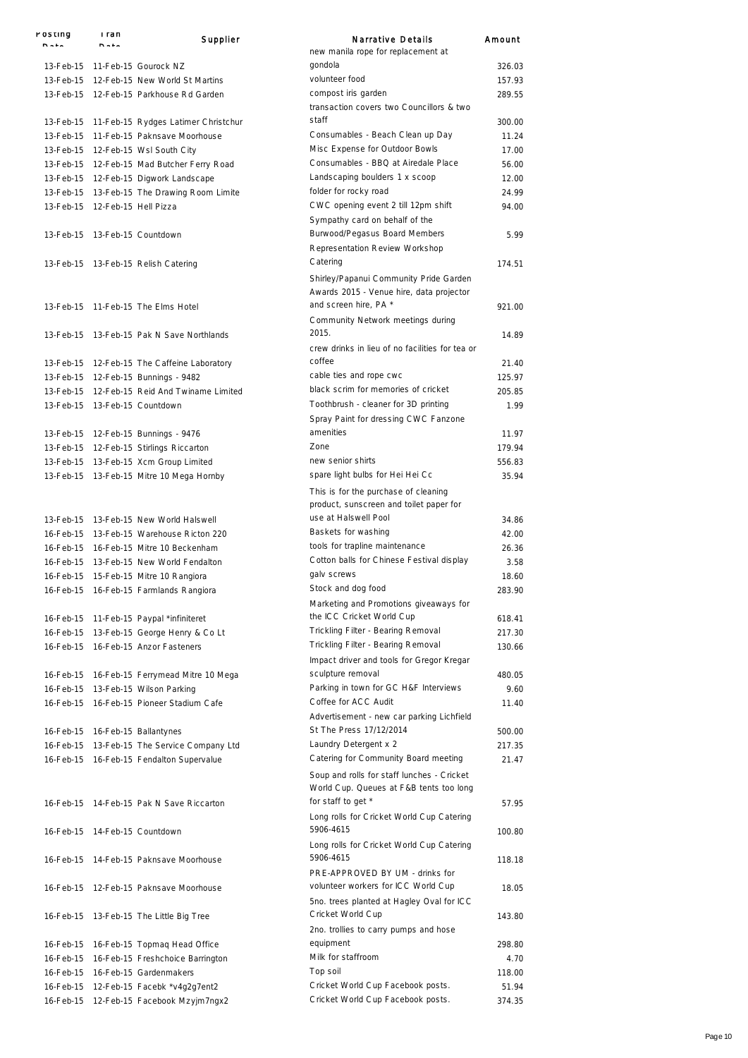| POSTING                        | i ran   | Supplier                                      | <b>Narrative Details</b>                                                              | Amount |
|--------------------------------|---------|-----------------------------------------------|---------------------------------------------------------------------------------------|--------|
|                                | $B = 1$ |                                               | new manila rope for replacement at                                                    |        |
|                                |         | 13-Feb-15 11-Feb-15 Gourock NZ                | gondola                                                                               | 326.03 |
|                                |         | 13-Feb-15 12-Feb-15 New World St Martins      | volunteer food                                                                        | 157.93 |
|                                |         | 13-Feb-15 12-Feb-15 Parkhouse Rd Garden       | compost iris garden                                                                   | 289.55 |
|                                |         |                                               | transaction covers two Councillors & two                                              |        |
|                                |         | 13-Feb-15 11-Feb-15 Rydges Latimer Christchur | staff                                                                                 | 300.00 |
| 13-Feb-15                      |         | 11-Feb-15 Paknsave Moorhouse                  | Consumables - Beach Clean up Day                                                      | 11.24  |
|                                |         | 13-Feb-15 12-Feb-15 Wsl South City            | Misc Expense for Outdoor Bowls                                                        | 17.00  |
|                                |         | 13-Feb-15 12-Feb-15 Mad Butcher Ferry Road    | Consumables - BBQ at Airedale Place                                                   | 56.00  |
|                                |         | 13-Feb-15 12-Feb-15 Digwork Landscape         | Landscaping boulders 1 x scoop                                                        | 12.00  |
|                                |         | 13-Feb-15 13-Feb-15 The Drawing Room Limite   | folder for rocky road                                                                 | 24.99  |
| 13-Feb-15 12-Feb-15 Hell Pizza |         |                                               | CWC opening event 2 till 12pm shift                                                   | 94.00  |
|                                |         |                                               | Sympathy card on behalf of the                                                        |        |
|                                |         | 13-Feb-15 13-Feb-15 Countdown                 | Burwood/Pegasus Board Members<br>Representation Review Workshop                       | 5.99   |
|                                |         |                                               | Catering                                                                              |        |
|                                |         | 13-Feb-15 13-Feb-15 Relish Catering           |                                                                                       | 174.51 |
|                                |         |                                               | Shirley/Papanui Community Pride Garden<br>Awards 2015 - Venue hire, data projector    |        |
|                                |         | 13-Feb-15 11-Feb-15 The Elms Hotel            | and screen hire, PA *                                                                 | 921.00 |
|                                |         |                                               | Community Network meetings during                                                     |        |
|                                |         | 13-Feb-15 13-Feb-15 Pak N Save Northlands     | 2015.                                                                                 | 14.89  |
|                                |         |                                               | crew drinks in lieu of no facilities for tea or                                       |        |
|                                |         | 13-Feb-15 12-Feb-15 The Caffeine Laboratory   | coffee                                                                                | 21.40  |
|                                |         | 13-Feb-15  12-Feb-15  Bunnings - 9482         | cable ties and rope cwc                                                               | 125.97 |
|                                |         | 13-Feb-15 12-Feb-15 Reid And Twiname Limited  | black scrim for memories of cricket                                                   | 205.85 |
|                                |         | 13-Feb-15 13-Feb-15 Countdown                 | Toothbrush - cleaner for 3D printing                                                  | 1.99   |
|                                |         |                                               | Spray Paint for dressing CWC Fanzone                                                  |        |
|                                |         | 13-Feb-15   12-Feb-15   Bunnings - 9476       | amenities                                                                             | 11.97  |
|                                |         | 13-Feb-15 12-Feb-15 Stirlings Riccarton       | Zone                                                                                  | 179.94 |
|                                |         | 13-Feb-15 13-Feb-15 Xcm Group Limited         | new senior shirts                                                                     | 556.83 |
|                                |         | 13-Feb-15 13-Feb-15 Mitre 10 Mega Hornby      | spare light bulbs for Hei Hei Cc                                                      | 35.94  |
|                                |         |                                               | This is for the purchase of cleaning<br>product, sunscreen and toilet paper for       |        |
|                                |         | 13-Feb-15 13-Feb-15 New World Halswell        | use at Halswell Pool                                                                  | 34.86  |
|                                |         | 16-Feb-15 13-Feb-15 Warehouse Ricton 220      | Baskets for washing                                                                   | 42.00  |
|                                |         | 16-Feb-15 16-Feb-15 Mitre 10 Beckenham        | tools for trapline maintenance                                                        | 26.36  |
|                                |         | 16-Feb-15 13-Feb-15 New World Fendalton       | Cotton balls for Chinese Festival display                                             | 3.58   |
|                                |         | 16-Feb-15 15-Feb-15 Mitre 10 Rangiora         | galv screws                                                                           | 18.60  |
|                                |         | 16-Feb-15 16-Feb-15 Farmlands Rangiora        | Stock and dog food                                                                    | 283.90 |
|                                |         |                                               | Marketing and Promotions giveaways for                                                |        |
|                                |         | 16-Feb-15 11-Feb-15 Paypal *infiniteret       | the ICC Cricket World Cup                                                             | 618.41 |
|                                |         | 16-Feb-15 13-Feb-15 George Henry & Co Lt      | Trickling Filter - Bearing Removal                                                    | 217.30 |
|                                |         | 16-Feb-15 16-Feb-15 Anzor Fasteners           | Trickling Filter - Bearing Removal                                                    | 130.66 |
|                                |         |                                               | Impact driver and tools for Gregor Kregar                                             |        |
|                                |         | 16-Feb-15 16-Feb-15 Ferrymead Mitre 10 Mega   | sculpture removal                                                                     | 480.05 |
|                                |         | 16-Feb-15 13-Feb-15 Wilson Parking            | Parking in town for GC H&F Interviews                                                 | 9.60   |
|                                |         | 16-Feb-15 16-Feb-15 Pioneer Stadium Cafe      | Coffee for ACC Audit                                                                  | 11.40  |
|                                |         |                                               | Advertisement - new car parking Lichfield<br>St The Press 17/12/2014                  |        |
|                                |         | 16-Feb-15 16-Feb-15 Ballantynes               |                                                                                       | 500.00 |
|                                |         | 16-Feb-15 13-Feb-15 The Service Company Ltd   | Laundry Detergent x 2                                                                 | 217.35 |
|                                |         | 16-Feb-15 16-Feb-15 Fendalton Supervalue      | Catering for Community Board meeting                                                  | 21.47  |
|                                |         |                                               | Soup and rolls for staff lunches - Cricket<br>World Cup. Queues at F&B tents too long |        |
|                                |         | 16-Feb-15 14-Feb-15 Pak N Save Riccarton      | for staff to get *                                                                    | 57.95  |
|                                |         |                                               | Long rolls for Cricket World Cup Catering                                             |        |
|                                |         | 16-Feb-15 14-Feb-15 Countdown                 | 5906-4615                                                                             | 100.80 |
|                                |         |                                               | Long rolls for Cricket World Cup Catering                                             |        |
|                                |         | 16-Feb-15 14-Feb-15 Paknsave Moorhouse        | 5906-4615                                                                             | 118.18 |
|                                |         |                                               | PRE-APPROVED BY UM - drinks for                                                       |        |
|                                |         |                                               |                                                                                       |        |
|                                |         | 16-Feb-15 12-Feb-15 Paknsave Moorhouse        | volunteer workers for ICC World Cup                                                   | 18.05  |
|                                |         |                                               | 5no. trees planted at Hagley Oval for ICC<br>Cricket World Cup                        |        |
|                                |         | 16-Feb-15 13-Feb-15 The Little Big Tree       |                                                                                       | 143.80 |
|                                |         |                                               | 2no. trollies to carry pumps and hose                                                 |        |
|                                |         | 16-Feb-15 16-Feb-15 Topmaq Head Office        | equipment                                                                             | 298.80 |
| 16-Feb-15                      |         | 16-Feb-15 Freshchoice Barrington              | Milk for staffroom                                                                    | 4.70   |
|                                |         | 16-Feb-15 16-Feb-15 Gardenmakers              | Top soil                                                                              | 118.00 |
|                                |         | 16-Feb-15 12-Feb-15 Facebk *v4g2g7ent2        | Cricket World Cup Facebook posts.                                                     | 51.94  |
|                                |         | 16-Feb-15 12-Feb-15 Facebook Mzyjm7ngx2       | Cricket World Cup Facebook posts.                                                     | 374.35 |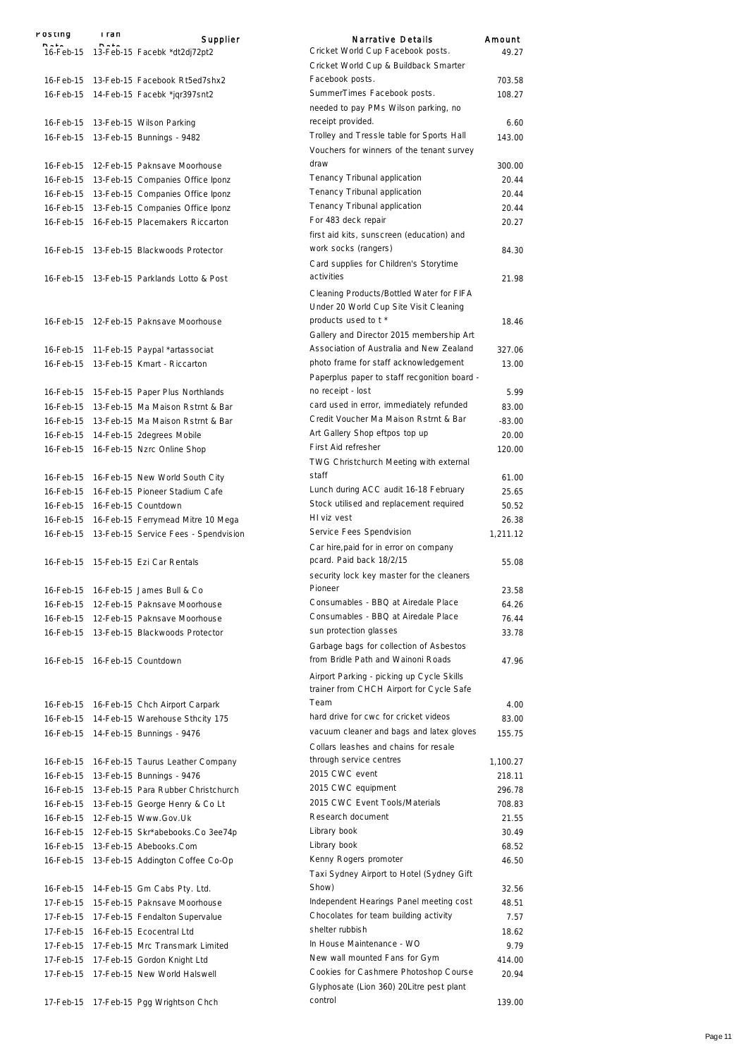| rusuny<br><b>D.L.</b>  | rran<br>$P = 1$ | Supplier                                                        | <b>Narrative Details</b>                                                             | Amount           |
|------------------------|-----------------|-----------------------------------------------------------------|--------------------------------------------------------------------------------------|------------------|
|                        |                 | 16-Feb-15    13-Feb-15    Facebk *dt2dj72pt2                    | Cricket World Cup Facebook posts.                                                    | 49.27            |
|                        |                 |                                                                 | Cricket World Cup & Buildback Smarter                                                |                  |
|                        |                 | 16-Feb-15 13-Feb-15 Facebook Rt5ed7shx2                         | Facebook posts.                                                                      | 703.58           |
|                        |                 | 16-Feb-15 14-Feb-15 Facebk *jqr397snt2                          | SummerTimes Facebook posts.                                                          | 108.27           |
|                        |                 |                                                                 | needed to pay PMs Wilson parking, no                                                 |                  |
| 16-Feb-15              |                 | 13-Feb-15 Wilson Parking                                        | receipt provided.                                                                    | 6.60             |
| 16-Feb-15              |                 | 13-Feb-15 Bunnings - 9482                                       | Trolley and Tressle table for Sports Hall                                            | 143.00           |
|                        |                 |                                                                 | Vouchers for winners of the tenant survey                                            |                  |
|                        |                 | 16-Feb-15 12-Feb-15 Paknsave Moorhouse                          | draw                                                                                 | 300.00           |
| 16-Feb-15              |                 | 13-Feb-15 Companies Office Iponz                                | Tenancy Tribunal application                                                         | 20.44            |
|                        |                 | 16-Feb-15 13-Feb-15 Companies Office Iponz                      | Tenancy Tribunal application                                                         | 20.44            |
|                        |                 | 16-Feb-15 13-Feb-15 Companies Office Iponz                      | Tenancy Tribunal application                                                         | 20.44            |
|                        |                 | 16-Feb-15 16-Feb-15 Placemakers Riccarton                       | For 483 deck repair                                                                  | 20.27            |
|                        |                 |                                                                 | first aid kits, sunscreen (education) and<br>work socks (rangers)                    |                  |
|                        |                 | 16-Feb-15 13-Feb-15 Blackwoods Protector                        | Card supplies for Children's Storytime                                               | 84.30            |
|                        |                 | 16-Feb-15 13-Feb-15 Parklands Lotto & Post                      | activities                                                                           | 21.98            |
|                        |                 |                                                                 |                                                                                      |                  |
|                        |                 |                                                                 | Cleaning Products/Bottled Water for FIFA                                             |                  |
|                        |                 |                                                                 | Under 20 World Cup Site Visit Cleaning<br>products used to t *                       |                  |
|                        |                 | 16-Feb-15 12-Feb-15 Paknsave Moorhouse                          |                                                                                      | 18.46            |
|                        |                 |                                                                 | Gallery and Director 2015 membership Art<br>Association of Australia and New Zealand |                  |
| 16-Feb-15              |                 | 11-Feb-15 Paypal *artassociat                                   | photo frame for staff acknowledgement                                                | 327.06           |
| 16-Feb-15              |                 | 13-Feb-15 Kmart - Riccarton                                     |                                                                                      | 13.00            |
|                        |                 |                                                                 | Paperplus paper to staff recgonition board -                                         |                  |
|                        |                 | 16-Feb-15 15-Feb-15 Paper Plus Northlands                       | no receipt - lost                                                                    | 5.99             |
| 16-Feb-15              |                 | 13-Feb-15 Ma Maison Rstrnt & Bar                                | card used in error, immediately refunded                                             | 83.00            |
|                        |                 | 16-Feb-15 13-Feb-15 Ma Maison Rstrnt & Bar                      | Credit Voucher Ma Maison Rstrnt & Bar                                                | $-83.00$         |
|                        |                 | 16-Feb-15 14-Feb-15 2degrees Mobile                             | Art Gallery Shop eftpos top up<br>First Aid refresher                                | 20.00            |
|                        |                 | 16-Feb-15 16-Feb-15 Nzrc Online Shop                            |                                                                                      | 120.00           |
|                        |                 |                                                                 | TWG Christchurch Meeting with external<br>staff                                      |                  |
| 16-Feb-15              |                 | 16-Feb-15 New World South City                                  | Lunch during ACC audit 16-18 February                                                | 61.00            |
| 16-Feb-15              |                 | 16-Feb-15 Pioneer Stadium Cafe                                  |                                                                                      | 25.65            |
|                        |                 | 16-Feb-15 16-Feb-15 Countdown                                   | Stock utilised and replacement required<br>HI viz vest                               | 50.52            |
| 16-Feb-15              |                 | 16-Feb-15 Ferrymead Mitre 10 Mega                               |                                                                                      | 26.38            |
| 16-Feb-15              |                 | 13-Feb-15 Service Fees - Spendvision                            | Service Fees Spendvision                                                             | 1.211.12         |
|                        |                 |                                                                 | Car hire, paid for in error on company<br>pcard. Paid back 18/2/15                   |                  |
|                        |                 | 16-Feb-15 15-Feb-15 Ezi Car Rentals                             | security lock key master for the cleaners                                            | 55.08            |
| 16-Feb-15              |                 | 16-Feb-15 James Bull & Co                                       | Pioneer                                                                              | 23.58            |
| 16-Feb-15              |                 | 12-Feb-15 Paknsave Moorhouse                                    | Consumables - BBQ at Airedale Place                                                  | 64.26            |
| 16-Feb-15              |                 | 12-Feb-15 Paknsave Moorhouse                                    | Consumables - BBQ at Airedale Place                                                  | 76.44            |
|                        |                 | 16-Feb-15 13-Feb-15 Blackwoods Protector                        | sun protection glasses                                                               | 33.78            |
|                        |                 |                                                                 | Garbage bags for collection of Asbestos                                              |                  |
|                        |                 | 16-Feb-15 16-Feb-15 Countdown                                   | from Bridle Path and Wainoni Roads                                                   | 47.96            |
|                        |                 |                                                                 | Airport Parking - picking up Cycle Skills                                            |                  |
|                        |                 |                                                                 | trainer from CHCH Airport for Cycle Safe                                             |                  |
| 16-Feb-15              |                 | 16-Feb-15 Chch Airport Carpark                                  | Team                                                                                 | 4.00             |
| 16-Feb-15              |                 | 14-Feb-15 Warehouse Sthcity 175                                 | hard drive for cwc for cricket videos                                                | 83.00            |
| 16-Feb-15              |                 | 14-Feb-15 Bunnings - 9476                                       | vacuum cleaner and bags and latex gloves                                             | 155.75           |
|                        |                 |                                                                 | Collars leashes and chains for resale                                                |                  |
|                        |                 |                                                                 | through service centres                                                              |                  |
| 16-Feb-15              |                 | 16-Feb-15 Taurus Leather Company                                | 2015 CWC event                                                                       | 1,100.27         |
| 16-Feb-15<br>16-Feb-15 |                 | 13-Feb-15 Bunnings - 9476<br>13-Feb-15 Para Rubber Christchurch | 2015 CWC equipment                                                                   | 218.11<br>296.78 |
|                        |                 |                                                                 | 2015 CWC Event Tools/Materials                                                       |                  |
| 16-Feb-15              |                 | 13-Feb-15 George Henry & Co Lt                                  | Research document                                                                    | 708.83           |
| 16-Feb-15              |                 | 12-Feb-15 Www.Gov.Uk                                            | Library book                                                                         | 21.55            |
| 16-Feb-15              |                 | 12-Feb-15 Skr*abebooks.Co 3ee74p                                | Library book                                                                         | 30.49            |
| 16-Feb-15              |                 | 13-Feb-15 Abebooks.Com                                          | Kenny Rogers promoter                                                                | 68.52            |
| 16-Feb-15              |                 | 13-Feb-15 Addington Coffee Co-Op                                | Taxi Sydney Airport to Hotel (Sydney Gift                                            | 46.50            |
|                        |                 |                                                                 | Show)                                                                                | 32.56            |
| 16-Feb-15              |                 | 14-Feb-15 Gm Cabs Pty. Ltd.                                     | Independent Hearings Panel meeting cost                                              |                  |
| 17-Feb-15              |                 | 15-Feb-15 Paknsave Moorhouse                                    | Chocolates for team building activity                                                | 48.51            |
| 17-Feb-15              |                 | 17-Feb-15 Fendalton Supervalue                                  | shelter rubbish                                                                      | 7.57             |
| 17-Feb-15              |                 | 16-Feb-15 Ecocentral Ltd                                        | In House Maintenance - WO                                                            | 18.62            |
| 17-Feb-15              |                 | 17-Feb-15 Mrc Transmark Limited                                 | New wall mounted Fans for Gym                                                        | 9.79             |
| 17-Feb-15              |                 | 17-Feb-15 Gordon Knight Ltd                                     | Cookies for Cashmere Photoshop Course                                                | 414.00           |
| 17-Feb-15              |                 | 17-Feb-15 New World Halswell                                    | Glyphosate (Lion 360) 20Litre pest plant                                             | 20.94            |
| 17-Feb-15              |                 | 17-Feb-15 Pgg Wrightson Chch                                    | control                                                                              | 139.00           |
|                        |                 |                                                                 |                                                                                      |                  |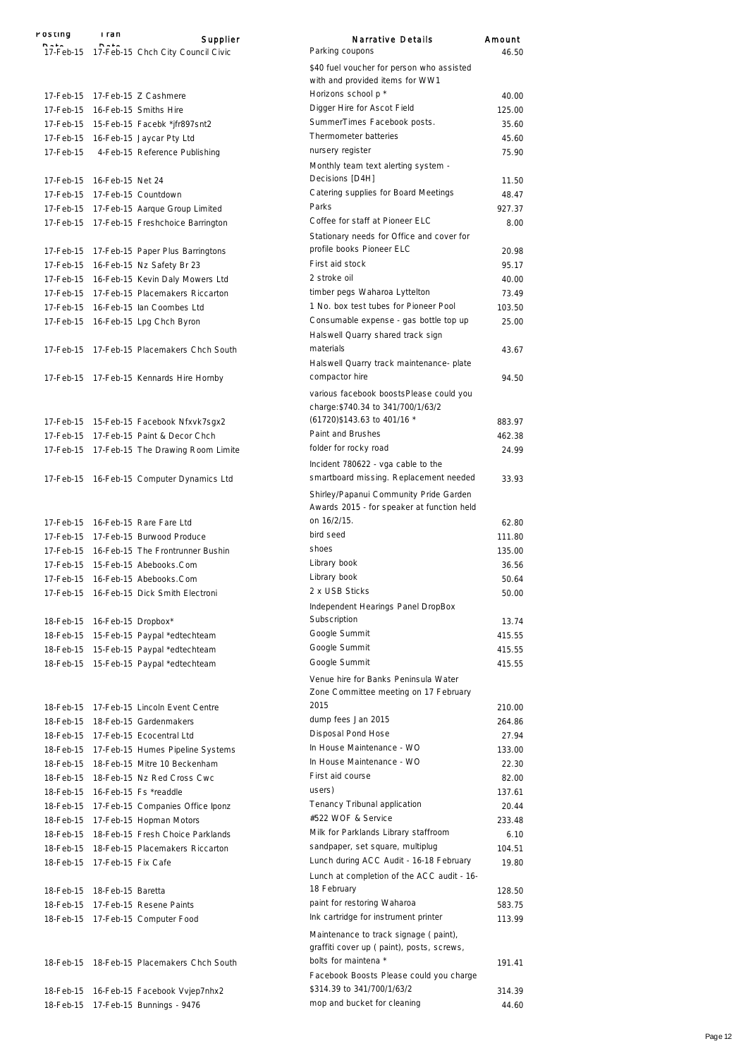| rosung    | rran                                | Supplier                                    | Narrative Details                                                                     | Amount |
|-----------|-------------------------------------|---------------------------------------------|---------------------------------------------------------------------------------------|--------|
|           |                                     | 17-Feb-15 17-Feb-15 Chch City Council Civic | Parking coupons                                                                       | 46.50  |
|           |                                     |                                             | \$40 fuel voucher for person who assisted                                             |        |
|           |                                     |                                             | with and provided items for WW1                                                       |        |
| 17-Feb-15 |                                     | 17-Feb-15 Z Cashmere                        | Horizons school p *                                                                   | 40.00  |
|           |                                     | 17-Feb-15 16-Feb-15 Smiths Hire             | Digger Hire for Ascot Field                                                           | 125.00 |
|           |                                     | 17-Feb-15 15-Feb-15 Facebk *jfr897snt2      | SummerTimes Facebook posts.                                                           | 35.60  |
| 17-Feb-15 |                                     | 16-Feb-15 Jaycar Pty Ltd                    | Thermometer batteries                                                                 | 45.60  |
| 17-Feb-15 |                                     | 4-Feb-15 Reference Publishing               | nursery register                                                                      | 75.90  |
|           |                                     |                                             | Monthly team text alerting system -<br>Decisions [D4H]                                |        |
|           | 17-Feb-15    16-Feb-15    Net    24 |                                             | Catering supplies for Board Meetings                                                  | 11.50  |
|           |                                     | 17-Feb-15 17-Feb-15 Countdown               | Parks                                                                                 | 48.47  |
| 17-Feb-15 |                                     | 17-Feb-15 Aarque Group Limited              | Coffee for staff at Pioneer ELC                                                       | 927.37 |
|           |                                     | 17-Feb-15 17-Feb-15 Freshchoice Barrington  | Stationary needs for Office and cover for                                             | 8.00   |
|           |                                     | 17-Feb-15 17-Feb-15 Paper Plus Barringtons  | profile books Pioneer ELC                                                             | 20.98  |
| 17-Feb-15 |                                     | 16-Feb-15 Nz Safety Br 23                   | First aid stock                                                                       | 95.17  |
| 17-Feb-15 |                                     | 16-Feb-15 Kevin Daly Mowers Ltd             | 2 stroke oil                                                                          | 40.00  |
| 17-Feb-15 |                                     | 17-Feb-15 Placemakers Riccarton             | timber pegs Waharoa Lyttelton                                                         | 73.49  |
| 17-Feb-15 |                                     | 16-Feb-15 lan Coombes Ltd                   | 1 No. box test tubes for Pioneer Pool                                                 | 103.50 |
| 17-Feb-15 |                                     | 16-Feb-15 Lpg Chch Byron                    | Consumable expense - gas bottle top up<br>Halswell Quarry shared track sign           | 25.00  |
| 17-Feb-15 |                                     | 17-Feb-15 Placemakers Chch South            | materials                                                                             | 43.67  |
|           |                                     | 17-Feb-15 17-Feb-15 Kennards Hire Hornby    | Halswell Quarry track maintenance-plate<br>compactor hire                             | 94.50  |
|           |                                     |                                             | various facebook boostsPlease could you                                               |        |
|           |                                     |                                             | charge: \$740.34 to 341/700/1/63/2                                                    |        |
|           |                                     | 17-Feb-15 15-Feb-15 Facebook Nfxvk7sgx2     | (61720) \$143.63 to 401/16 *                                                          | 883.97 |
|           |                                     | 17-Feb-15 17-Feb-15 Paint & Decor Chch      | Paint and Brushes                                                                     | 462.38 |
|           |                                     | 17-Feb-15 17-Feb-15 The Drawing Room Limite | folder for rocky road                                                                 | 24.99  |
|           |                                     |                                             | Incident 780622 - vga cable to the                                                    |        |
|           |                                     | 17-Feb-15 16-Feb-15 Computer Dynamics Ltd   | smartboard missing. Replacement needed                                                | 33.93  |
|           |                                     |                                             | Shirley/Papanui Community Pride Garden                                                |        |
|           |                                     |                                             | Awards 2015 - for speaker at function held                                            |        |
|           |                                     | 17-Feb-15 16-Feb-15 Rare Fare Ltd           | on 16/2/15.                                                                           | 62.80  |
|           |                                     | 17-Feb-15 17-Feb-15 Burwood Produce         | bird seed                                                                             | 111.80 |
| 17-Feb-15 |                                     | 16-Feb-15 The Frontrunner Bushin            | shoes                                                                                 | 135.00 |
|           |                                     | 17-Feb-15 15-Feb-15 Abebooks.Com            | Library book                                                                          | 36.56  |
| 17-Feb-15 |                                     | 16-Feb-15 Abebooks.Com                      | Library book                                                                          | 50.64  |
|           |                                     | 17-Feb-15 16-Feb-15 Dick Smith Electroni    | 2 x USB Sticks                                                                        | 50.00  |
|           |                                     |                                             | Independent Hearings Panel DropBox                                                    |        |
| 18-Feb-15 | 16-Feb-15 Dropbox*                  |                                             | Subscription                                                                          | 13.74  |
| 18-Feb-15 |                                     | 15-Feb-15 Paypal *edtechteam                | Google Summit                                                                         | 415.55 |
|           |                                     | 18-Feb-15 15-Feb-15 Paypal *edtechteam      | Google Summit                                                                         | 415.55 |
| 18-Feb-15 |                                     | 15-Feb-15 Paypal *edtechteam                | Google Summit                                                                         | 415.55 |
|           |                                     |                                             | Venue hire for Banks Peninsula Water<br>Zone Committee meeting on 17 February         |        |
| 18-Feb-15 |                                     | 17-Feb-15 Lincoln Event Centre              | 2015                                                                                  | 210.00 |
| 18-Feb-15 |                                     | 18-Feb-15 Gardenmakers                      | dump fees Jan 2015                                                                    | 264.86 |
| 18-Feb-15 |                                     | 17-Feb-15 Ecocentral Ltd                    | Disposal Pond Hose                                                                    | 27.94  |
| 18-Feb-15 |                                     | 17-Feb-15 Humes Pipeline Systems            | In House Maintenance - WO                                                             | 133.00 |
| 18-Feb-15 |                                     | 18-Feb-15 Mitre 10 Beckenham                | In House Maintenance - WO                                                             | 22.30  |
| 18-Feb-15 |                                     | 18-Feb-15 Nz Red Cross Cwc                  | First aid course                                                                      | 82.00  |
| 18-Feb-15 |                                     | 16-Feb-15 Fs *readdle                       | users)                                                                                | 137.61 |
| 18-Feb-15 |                                     | 17-Feb-15 Companies Office Iponz            | Tenancy Tribunal application                                                          | 20.44  |
| 18-Feb-15 |                                     | 17-Feb-15 Hopman Motors                     | #522 WOF & Service                                                                    | 233.48 |
| 18-Feb-15 |                                     | 18-Feb-15 Fresh Choice Parklands            | Milk for Parklands Library staffroom                                                  | 6.10   |
| 18-Feb-15 |                                     | 18-Feb-15 Placemakers Riccarton             | sandpaper, set square, multiplug                                                      | 104.51 |
| 18-Feb-15 | 17-Feb-15 Fix Cafe                  |                                             | Lunch during ACC Audit - 16-18 February<br>Lunch at completion of the ACC audit - 16- | 19.80  |
|           | 18-Feb-15 18-Feb-15 Baretta         |                                             | 18 February                                                                           | 128.50 |
| 18-Feb-15 |                                     | 17-Feb-15 Resene Paints                     | paint for restoring Waharoa                                                           | 583.75 |
| 18-Feb-15 |                                     | 17-Feb-15 Computer Food                     | Ink cartridge for instrument printer                                                  | 113.99 |
|           |                                     |                                             | Maintenance to track signage (paint),                                                 |        |
|           |                                     |                                             | graffiti cover up ( paint), posts, screws,                                            |        |
| 18-Feb-15 |                                     | 18-Feb-15 Placemakers Chch South            | bolts for maintena *                                                                  | 191.41 |
|           |                                     |                                             | Facebook Boosts Please could you charge                                               |        |
| 18-Feb-15 |                                     | 16-Feb-15 Facebook Vvjep7nhx2               | \$314.39 to 341/700/1/63/2                                                            | 314.39 |
| 18-Feb-15 |                                     | 17-Feb-15 Bunnings - 9476                   | mop and bucket for cleaning                                                           | 44.60  |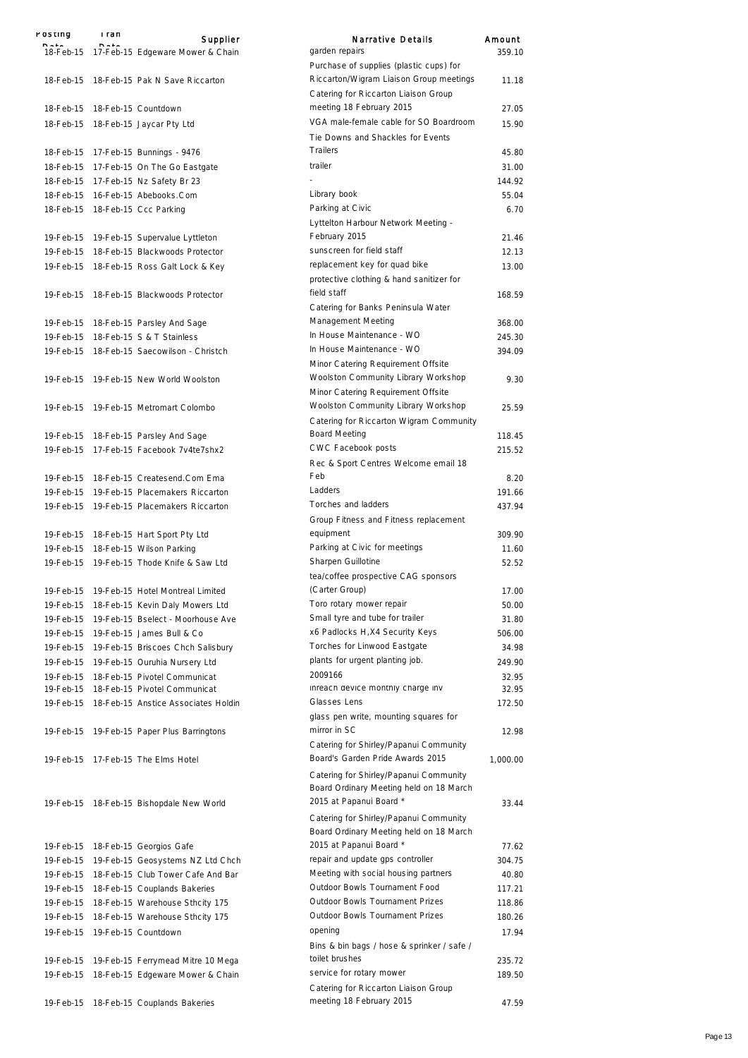| POSTING   | i ran | Supplier                                      | Narrative Details                                            | Amount   |
|-----------|-------|-----------------------------------------------|--------------------------------------------------------------|----------|
|           |       | 18-Feb-15 17-Feb-15 Edgeware Mower & Chain    | garden repairs                                               | 359.10   |
|           |       |                                               | Purchase of supplies (plastic cups) for                      |          |
|           |       | 18-Feb-15 18-Feb-15 Pak N Save Riccarton      | Riccarton/Wigram Liaison Group meetings                      | 11.18    |
|           |       |                                               | Catering for Riccarton Liaison Group                         |          |
|           |       | 18-Feb-15 18-Feb-15 Countdown                 | meeting 18 February 2015                                     | 27.05    |
|           |       | 18-Feb-15 18-Feb-15 Jaycar Pty Ltd            | VGA male-female cable for SO Boardroom                       | 15.90    |
|           |       |                                               | Tie Downs and Shackles for Events                            |          |
|           |       | 18-Feb-15 17-Feb-15 Bunnings - 9476           | <b>Trailers</b>                                              | 45.80    |
|           |       | 18-Feb-15 17-Feb-15 On The Go Eastgate        | trailer                                                      | 31.00    |
|           |       | 18-Feb-15 17-Feb-15 Nz Safety Br 23           |                                                              | 144.92   |
|           |       | 18-Feb-15 16-Feb-15 Abebooks.Com              | Library book                                                 | 55.04    |
|           |       | 18-Feb-15 18-Feb-15 Ccc Parking               | Parking at Civic                                             | 6.70     |
|           |       |                                               | Lyttelton Harbour Network Meeting -                          |          |
|           |       | 19-Feb-15 19-Feb-15 Supervalue Lyttleton      | February 2015                                                | 21.46    |
|           |       | 19-Feb-15 18-Feb-15 Blackwoods Protector      | sunscreen for field staff                                    | 12.13    |
|           |       | 19-Feb-15 18-Feb-15 Ross Galt Lock & Key      | replacement key for quad bike                                | 13.00    |
|           |       |                                               | protective clothing & hand sanitizer for                     |          |
|           |       | 19-Feb-15 18-Feb-15 Blackwoods Protector      | field staff                                                  | 168.59   |
|           |       |                                               | Catering for Banks Peninsula Water                           |          |
|           |       | 19-Feb-15 18-Feb-15 Parsley And Sage          | Management Meeting                                           | 368.00   |
|           |       | 19-Feb-15 18-Feb-15 S & T Stainless           | In House Maintenance - WO                                    | 245.30   |
|           |       | 19-Feb-15 18-Feb-15 Saecowilson - Christch    | In House Maintenance - WO                                    | 394.09   |
|           |       |                                               | Minor Catering Requirement Offsite                           |          |
|           |       | 19-Feb-15 19-Feb-15 New World Woolston        | Woolston Community Library Workshop                          | 9.30     |
|           |       |                                               | Minor Catering Requirement Offsite                           |          |
|           |       | 19-Feb-15 19-Feb-15 Metromart Colombo         | Woolston Community Library Workshop                          | 25.59    |
|           |       |                                               | Catering for Riccarton Wigram Community                      |          |
|           |       | 19-Feb-15 18-Feb-15 Parsley And Sage          | <b>Board Meeting</b>                                         | 118.45   |
|           |       | 19-Feb-15 17-Feb-15 Facebook 7v4te7shx2       | CWC Facebook posts                                           | 215.52   |
|           |       |                                               | Rec & Sport Centres Welcome email 18                         |          |
|           |       | 19-Feb-15 18-Feb-15 Createsend.Com Ema        | Feb                                                          | 8.20     |
|           |       | 19-Feb-15 19-Feb-15 Placemakers Riccarton     | Ladders                                                      | 191.66   |
|           |       | 19-Feb-15 19-Feb-15 Placemakers Riccarton     | Torches and ladders                                          | 437.94   |
|           |       |                                               | Group Fitness and Fitness replacement                        |          |
|           |       | 19-Feb-15 18-Feb-15 Hart Sport Pty Ltd        | equipment                                                    | 309.90   |
|           |       | 19-Feb-15 18-Feb-15 Wilson Parking            | Parking at Civic for meetings                                | 11.60    |
|           |       | 19-Feb-15 19-Feb-15 Thode Knife & Saw Ltd     | Sharpen Guillotine                                           | 52.52    |
|           |       |                                               | tea/coffee prospective CAG sponsors                          |          |
|           |       | 19-Feb-15 19-Feb-15 Hotel Montreal Limited    | (Carter Group)                                               | 17.00    |
|           |       | 19-Feb-15 18-Feb-15 Kevin Daly Mowers Ltd     | Toro rotary mower repair                                     | 50.00    |
| 19-Feb-15 |       | 19-Feb-15 Bselect - Moorhouse Ave             | Small tyre and tube for trailer                              | 31.80    |
|           |       | 19-Feb-15 19-Feb-15 James Bull & Co           | x6 Padlocks H, X4 Security Keys                              | 506.00   |
|           |       | 19-Feb-15 19-Feb-15 Briscoes Chch Salisbury   | Torches for Linwood Eastgate                                 | 34.98    |
|           |       | 19-Feb-15 19-Feb-15 Ouruhia Nursery Ltd       | plants for urgent planting job.                              | 249.90   |
|           |       | 19-Feb-15 18-Feb-15 Pivotel Communicat        | 2009166                                                      | 32.95    |
|           |       | 19-Feb-15 18-Feb-15 Pivotel Communicat        | inreach device monthly charge inv                            | 32.95    |
|           |       | 19-Feb-15 18-Feb-15 Anstice Associates Holdin | Glasses Lens                                                 | 172.50   |
|           |       |                                               | glass pen write, mounting squares for                        |          |
|           |       | 19-Feb-15 19-Feb-15 Paper Plus Barringtons    | mirror in SC                                                 | 12.98    |
|           |       |                                               | Catering for Shirley/Papanui Community                       |          |
|           |       | 19-Feb-15 17-Feb-15 The Elms Hotel            | Board's Garden Pride Awards 2015                             | 1,000.00 |
|           |       |                                               | Catering for Shirley/Papanui Community                       |          |
|           |       |                                               | Board Ordinary Meeting held on 18 March                      |          |
|           |       | 19-Feb-15 18-Feb-15 Bishopdale New World      | 2015 at Papanui Board *                                      | 33.44    |
|           |       |                                               | Catering for Shirley/Papanui Community                       |          |
|           |       |                                               | Board Ordinary Meeting held on 18 March                      |          |
|           |       | 19-Feb-15 18-Feb-15 Georgios Gafe             | 2015 at Papanui Board *                                      | 77.62    |
|           |       | 19-Feb-15 19-Feb-15 Geosystems NZ Ltd Chch    | repair and update gps controller                             | 304.75   |
|           |       | 19-Feb-15 18-Feb-15 Club Tower Cafe And Bar   | Meeting with social housing partners                         | 40.80    |
|           |       | 19-Feb-15 18-Feb-15 Couplands Bakeries        | Outdoor Bowls Tournament Food                                | 117.21   |
|           |       | 19-Feb-15 18-Feb-15 Warehouse Sthcity 175     | Outdoor Bowls Tournament Prizes                              | 118.86   |
|           |       | 19-Feb-15 18-Feb-15 Warehouse Sthcity 175     | Outdoor Bowls Tournament Prizes                              | 180.26   |
|           |       |                                               | opening                                                      |          |
|           |       | 19-Feb-15 19-Feb-15 Countdown                 |                                                              | 17.94    |
|           |       |                                               | Bins & bin bags / hose & sprinker / safe /<br>toilet brushes |          |
|           |       | 19-Feb-15 19-Feb-15 Ferrymead Mitre 10 Mega   | service for rotary mower                                     | 235.72   |
|           |       | 19-Feb-15 18-Feb-15 Edgeware Mower & Chain    | Catering for Riccarton Liaison Group                         | 189.50   |
|           |       |                                               | meeting 18 February 2015                                     | 47.59    |
|           |       | 19-Feb-15 18-Feb-15 Couplands Bakeries        |                                                              |          |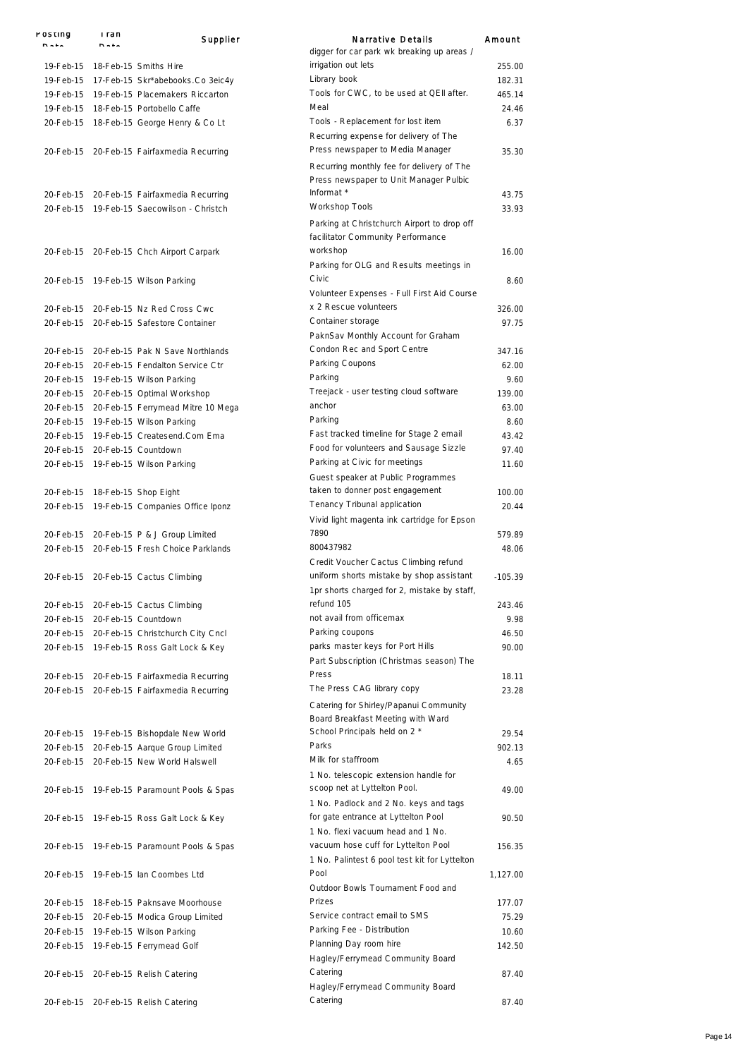| POSTING | i ran<br><b>n.i.</b>           | Supplier                                    | Narrative Details<br>digger for car park wk breaking up areas /                         | Amount    |
|---------|--------------------------------|---------------------------------------------|-----------------------------------------------------------------------------------------|-----------|
|         |                                | 19-Feb-15 18-Feb-15 Smiths Hire             | irrigation out lets                                                                     | 255.00    |
|         |                                | 19-Feb-15 17-Feb-15 Skr*abebooks.Co 3eic4y  | Library book                                                                            | 182.31    |
|         |                                | 19-Feb-15 19-Feb-15 Placemakers Riccarton   | Tools for CWC, to be used at QEII after.                                                | 465.14    |
|         |                                | 19-Feb-15 18-Feb-15 Portobello Caffe        | Meal                                                                                    | 24.46     |
|         |                                | 20-Feb-15 18-Feb-15 George Henry & Co Lt    | Tools - Replacement for lost item<br>Recurring expense for delivery of The              | 6.37      |
|         |                                | 20-Feb-15 20-Feb-15 Fairfaxmedia Recurring  | Press newspaper to Media Manager<br>Recurring monthly fee for delivery of The           | 35.30     |
|         |                                | 20-Feb-15 20-Feb-15 Fairfaxmedia Recurring  | Press newspaper to Unit Manager Pulbic<br>Informat *                                    | 43.75     |
|         |                                | 20-Feb-15 19-Feb-15 Saecowilson - Christch  | Workshop Tools                                                                          | 33.93     |
|         |                                |                                             | Parking at Christchurch Airport to drop off<br>facilitator Community Performance        |           |
|         |                                | 20-Feb-15 20-Feb-15 Chch Airport Carpark    | workshop<br>Parking for OLG and Results meetings in                                     | 16.00     |
|         |                                | 20-Feb-15 19-Feb-15 Wilson Parking          | Civic<br>Volunteer Expenses - Full First Aid Course                                     | 8.60      |
|         |                                | 20-Feb-15 20-Feb-15 Nz Red Cross Cwc        | x 2 Rescue volunteers                                                                   | 326.00    |
|         |                                | 20-Feb-15 20-Feb-15 Safestore Container     | Container storage<br>PaknSav Monthly Account for Graham                                 | 97.75     |
|         |                                | 20-Feb-15 20-Feb-15 Pak N Save Northlands   | Condon Rec and Sport Centre                                                             | 347.16    |
|         |                                | 20-Feb-15 20-Feb-15 Fendalton Service Ctr   | Parking Coupons                                                                         | 62.00     |
|         |                                | 20-Feb-15 19-Feb-15 Wilson Parking          | Parking                                                                                 | 9.60      |
|         |                                | 20-Feb-15 20-Feb-15 Optimal Workshop        | Treejack - user testing cloud software                                                  | 139.00    |
|         |                                | 20-Feb-15 20-Feb-15 Ferrymead Mitre 10 Mega | anchor                                                                                  | 63.00     |
|         |                                | 20-Feb-15 19-Feb-15 Wilson Parking          | Parking                                                                                 | 8.60      |
|         |                                | 20-Feb-15 19-Feb-15 Createsend.Com Ema      | Fast tracked timeline for Stage 2 email                                                 | 43.42     |
|         |                                | 20-Feb-15 20-Feb-15 Countdown               | Food for volunteers and Sausage Sizzle                                                  | 97.40     |
|         |                                | 20-Feb-15 19-Feb-15 Wilson Parking          | Parking at Civic for meetings<br>Guest speaker at Public Programmes                     | 11.60     |
|         | 20-Feb-15 18-Feb-15 Shop Eight |                                             | taken to donner post engagement                                                         | 100.00    |
|         |                                | 20-Feb-15 19-Feb-15 Companies Office Iponz  | Tenancy Tribunal application<br>Vivid light magenta ink cartridge for Epson             | 20.44     |
|         |                                | 20-Feb-15 20-Feb-15 P & J Group Limited     | 7890                                                                                    | 579.89    |
|         |                                | 20-Feb-15 20-Feb-15 Fresh Choice Parklands  | 800437982<br>Credit Voucher Cactus Climbing refund                                      | 48.06     |
|         |                                | 20-Feb-15 20-Feb-15 Cactus Climbing         | uniform shorts mistake by shop assistant<br>1pr shorts charged for 2, mistake by staff, | $-105.39$ |
|         |                                | 20-Feb-15 20-Feb-15 Cactus Climbing         | refund 105                                                                              | 243.46    |
|         |                                | 20-Feb-15 20-Feb-15 Countdown               | not avail from officemax                                                                | 9.98      |
|         |                                | 20-Feb-15 20-Feb-15 Christchurch City Cncl  | Parking coupons                                                                         | 46.50     |
|         |                                | 20-Feb-15 19-Feb-15 Ross Galt Lock & Key    | parks master keys for Port Hills                                                        | 90.00     |
|         |                                | 20-Feb-15 20-Feb-15 Fairfaxmedia Recurring  | Part Subscription (Christmas season) The<br>Press                                       | 18.11     |
|         |                                | 20-Feb-15 20-Feb-15 Fairfaxmedia Recurring  | The Press CAG library copy                                                              | 23.28     |
|         |                                |                                             | Catering for Shirley/Papanui Community<br>Board Breakfast Meeting with Ward             |           |
|         |                                | 20-Feb-15 19-Feb-15 Bishopdale New World    | School Principals held on 2 *                                                           | 29.54     |
|         |                                | 20-Feb-15 20-Feb-15 Aarque Group Limited    | Parks                                                                                   | 902.13    |
|         |                                | 20-Feb-15 20-Feb-15 New World Halswell      | Milk for staffroom<br>1 No. telescopic extension handle for                             | 4.65      |
|         |                                | 20-Feb-15 19-Feb-15 Paramount Pools & Spas  | scoop net at Lyttelton Pool.<br>1 No. Padlock and 2 No. keys and tags                   | 49.00     |
|         |                                | 20-Feb-15 19-Feb-15 Ross Galt Lock & Key    | for gate entrance at Lyttelton Pool<br>1 No. flexi vacuum head and 1 No.                | 90.50     |
|         |                                | 20-Feb-15 19-Feb-15 Paramount Pools & Spas  | vacuum hose cuff for Lyttelton Pool<br>1 No. Palintest 6 pool test kit for Lyttelton    | 156.35    |
|         |                                | 20-Feb-15 19-Feb-15 lan Coombes Ltd         | Pool<br>Outdoor Bowls Tournament Food and                                               | 1,127.00  |
|         |                                | 20-Feb-15 18-Feb-15 Paknsave Moorhouse      | Prizes                                                                                  | 177.07    |
|         |                                | 20-Feb-15 20-Feb-15 Modica Group Limited    | Service contract email to SMS                                                           | 75.29     |
|         |                                | 20-Feb-15 19-Feb-15 Wilson Parking          | Parking Fee - Distribution                                                              | 10.60     |
|         |                                | 20-Feb-15 19-Feb-15 Ferrymead Golf          | Planning Day room hire                                                                  | 142.50    |
|         |                                |                                             | Hagley/Ferrymead Community Board<br>Catering                                            | 87.40     |
|         |                                | 20-Feb-15 20-Feb-15 Relish Catering         | Hagley/Ferrymead Community Board                                                        |           |
|         |                                | 20-Feb-15 20-Feb-15 Relish Catering         | Catering                                                                                | 87.40     |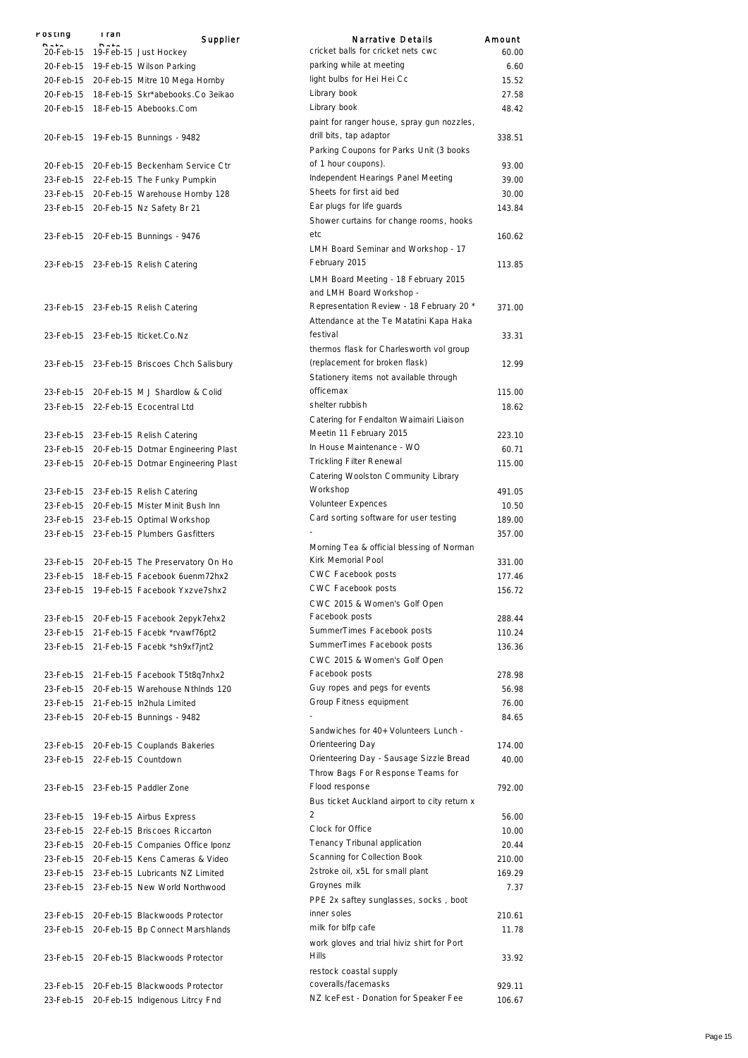| rusung    | i ran<br>$B - 1$ | Supplier                                     | Narrative Details                                                            | Amount |
|-----------|------------------|----------------------------------------------|------------------------------------------------------------------------------|--------|
|           |                  | 20-Feb-15 19-Feb-15 Just Hockey              | cricket balls for cricket nets cwc                                           | 60.00  |
|           |                  | 20-Feb-15 19-Feb-15 Wilson Parking           | parking while at meeting                                                     | 6.60   |
| 20-Feb-15 |                  | 20-Feb-15 Mitre 10 Mega Hornby               | light bulbs for Hei Hei Cc                                                   | 15.52  |
| 20-Feb-15 |                  | 18-Feb-15 Skr*abebooks.Co 3eikao             | Library book                                                                 | 27.58  |
| 20-Feb-15 |                  | 18-Feb-15 Abebooks.Com                       | Library book                                                                 | 48.42  |
|           |                  | 20-Feb-15 19-Feb-15 Bunnings - 9482          | paint for ranger house, spray gun nozzles,<br>drill bits, tap adaptor        | 338.51 |
|           |                  |                                              | Parking Coupons for Parks Unit (3 books                                      |        |
|           |                  | 20-Feb-15 20-Feb-15 Beckenham Service Ctr    | of 1 hour coupons).                                                          | 93.00  |
|           |                  | 23-Feb-15 22-Feb-15 The Funky Pumpkin        | Independent Hearings Panel Meeting                                           | 39.00  |
|           |                  | 23-Feb-15 20-Feb-15 Warehouse Hornby 128     | Sheets for first aid bed                                                     | 30.00  |
|           |                  |                                              | Ear plugs for life guards                                                    | 143.84 |
|           |                  | 23-Feb-15 20-Feb-15 Nz Safety Br 21          | Shower curtains for change rooms, hooks<br>etc                               |        |
|           |                  | 23-Feb-15 20-Feb-15 Bunnings - 9476          | LMH Board Seminar and Workshop - 17                                          | 160.62 |
|           |                  | 23-Feb-15 23-Feb-15 Relish Catering          | February 2015                                                                | 113.85 |
|           |                  |                                              | LMH Board Meeting - 18 February 2015<br>and LMH Board Workshop -             |        |
|           |                  | 23-Feb-15 23-Feb-15 Relish Catering          | Representation Review - 18 February 20 *                                     | 371.00 |
|           |                  |                                              | Attendance at the Te Matatini Kapa Haka<br>festival                          |        |
|           |                  | 23-Feb-15 23-Feb-15 Iticket.Co.Nz            | thermos flask for Charlesworth vol group                                     | 33.31  |
|           |                  | 23-Feb-15 23-Feb-15 Briscoes Chch Salisbury  | (replacement for broken flask)                                               | 12.99  |
|           |                  |                                              | Stationery items not available through                                       |        |
|           |                  | 23-Feb-15 20-Feb-15 M J Shardlow & Colid     | officemax                                                                    | 115.00 |
|           |                  | 23-Feb-15 22-Feb-15 Ecocentral Ltd           | shelter rubbish                                                              | 18.62  |
|           |                  |                                              | Catering for Fendalton Waimairi Liaison                                      |        |
|           |                  | 23-Feb-15 23-Feb-15 Relish Catering          | Meetin 11 February 2015                                                      | 223.10 |
|           |                  |                                              | In House Maintenance - WO                                                    | 60.71  |
|           |                  | 23-Feb-15 20-Feb-15 Dotmar Engineering Plast | <b>Trickling Filter Renewal</b>                                              |        |
|           |                  | 23-Feb-15 20-Feb-15 Dotmar Engineering Plast |                                                                              | 115.00 |
|           |                  |                                              | Catering Woolston Community Library                                          |        |
|           |                  | 23-Feb-15 23-Feb-15 Relish Catering          | Workshop                                                                     | 491.05 |
|           |                  | 23-Feb-15 20-Feb-15 Mister Minit Bush Inn    | Volunteer Expences                                                           | 10.50  |
|           |                  | 23-Feb-15 23-Feb-15 Optimal Workshop         | Card sorting software for user testing                                       | 189.00 |
|           |                  | 23-Feb-15 23-Feb-15 Plumbers Gasfitters      | Morning Tea & official blessing of Norman                                    | 357.00 |
|           |                  | 23-Feb-15 20-Feb-15 The Preservatory On Ho   | Kirk Memorial Pool                                                           | 331.00 |
| 23-Feb-15 |                  | 18-Feb-15 Facebook 6uenm72hx2                | <b>CWC Facebook posts</b>                                                    | 177.46 |
| 23-Feb-15 |                  | 19-Feb-15 Facebook Yxzve7shx2                | <b>CWC Facebook posts</b>                                                    | 156.72 |
|           |                  |                                              | CWC 2015 & Women's Golf Open<br>Facebook posts                               |        |
|           |                  | 23-Feb-15 20-Feb-15 Facebook 2epyk7ehx2      |                                                                              | 288.44 |
|           |                  | 23-Feb-15 21-Feb-15 Facebk *rvawf76pt2       | SummerTimes Facebook posts                                                   | 110.24 |
|           |                  | 23-Feb-15 21-Feb-15 Facebk *sh9xf7jnt2       | SummerTimes Facebook posts                                                   | 136.36 |
|           |                  |                                              | CWC 2015 & Women's Golf Open                                                 |        |
| 23-Feb-15 |                  | 21-Feb-15 Facebook T5t8q7nhx2                | Facebook posts                                                               | 278.98 |
| 23-Feb-15 |                  | 20-Feb-15 Warehouse Nthinds 120              | Guy ropes and pegs for events                                                | 56.98  |
|           |                  | 23-Feb-15 21-Feb-15 In2hula Limited          | Group Fitness equipment                                                      | 76.00  |
|           |                  | 23-Feb-15 20-Feb-15 Bunnings - 9482          |                                                                              | 84.65  |
|           |                  |                                              | Sandwiches for 40+ Volunteers Lunch -                                        |        |
|           |                  | 23-Feb-15 20-Feb-15 Couplands Bakeries       | Orienteering Day                                                             | 174.00 |
|           |                  | 23-Feb-15 22-Feb-15 Countdown                | Orienteering Day - Sausage Sizzle Bread<br>Throw Bags For Response Teams for | 40.00  |
|           |                  | 23-Feb-15 23-Feb-15 Paddler Zone             | Flood response<br>Bus ticket Auckland airport to city return x               | 792.00 |
| 23-Feb-15 |                  | 19-Feb-15 Airbus Express                     | $\overline{2}$                                                               | 56.00  |
|           |                  | 23-Feb-15 22-Feb-15 Briscoes Riccarton       | Clock for Office                                                             | 10.00  |
|           |                  | 23-Feb-15 20-Feb-15 Companies Office Iponz   | Tenancy Tribunal application                                                 | 20.44  |
|           |                  | 23-Feb-15 20-Feb-15 Kens Cameras & Video     | Scanning for Collection Book                                                 | 210.00 |
|           |                  | 23-Feb-15 23-Feb-15 Lubricants NZ Limited    | 2stroke oil, x5L for small plant                                             | 169.29 |
|           |                  | 23-Feb-15 23-Feb-15 New World Northwood      | Groynes milk                                                                 | 7.37   |
|           |                  |                                              | PPE 2x saftey sunglasses, socks, boot                                        |        |
|           |                  | 23-Feb-15 20-Feb-15 Blackwoods Protector     | inner soles                                                                  | 210.61 |
| 23-Feb-15 |                  | 20-Feb-15 Bp Connect Marshlands              | milk for blfp cafe                                                           | 11.78  |
|           |                  |                                              | work gloves and trial hiviz shirt for Port                                   |        |
|           |                  |                                              | Hills                                                                        |        |
|           |                  | 23-Feb-15 20-Feb-15 Blackwoods Protector     |                                                                              | 33.92  |
|           |                  |                                              | restock coastal supply                                                       |        |
|           |                  | 23-Feb-15 20-Feb-15 Blackwoods Protector     | coveralls/facemasks                                                          | 929.11 |
| 23-Feb-15 |                  | 20-Feb-15 Indigenous Litrcy Fnd              | NZ IceFest - Donation for Speaker Fee                                        | 106.67 |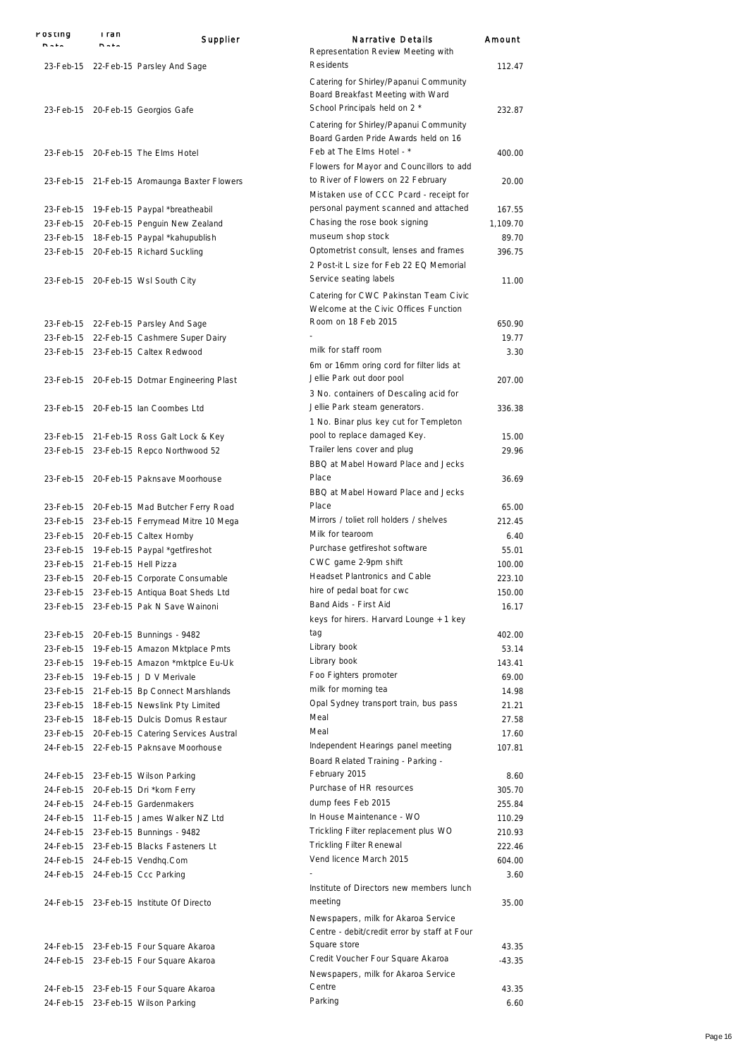| POSTING | i ran<br>$B = 1$               | Supplier                                                                                | Narrative Details                                                                                            | Amount            |
|---------|--------------------------------|-----------------------------------------------------------------------------------------|--------------------------------------------------------------------------------------------------------------|-------------------|
|         |                                | 23-Feb-15 22-Feb-15 Parsley And Sage                                                    | Representation Review Meeting with<br>Residents                                                              | 112.47            |
|         |                                | 23-Feb-15 20-Feb-15 Georgios Gafe                                                       | Catering for Shirley/Papanui Community<br>Board Breakfast Meeting with Ward<br>School Principals held on 2 * | 232.87            |
|         |                                | 23-Feb-15 20-Feb-15 The Elms Hotel                                                      | Catering for Shirley/Papanui Community<br>Board Garden Pride Awards held on 16<br>Feb at The Elms Hotel - *  | 400.00            |
|         |                                |                                                                                         | Flowers for Mayor and Councillors to add                                                                     |                   |
|         |                                | 23-Feb-15 21-Feb-15 Aromaunga Baxter Flowers                                            | to River of Flowers on 22 February<br>Mistaken use of CCC Pcard - receipt for                                | 20.00             |
|         |                                | 23-Feb-15 19-Feb-15 Paypal *breatheabil                                                 | personal payment scanned and attached                                                                        | 167.55            |
|         |                                | 23-Feb-15 20-Feb-15 Penguin New Zealand                                                 | Chasing the rose book signing                                                                                | 1,109.70          |
|         |                                | 23-Feb-15 18-Feb-15 Paypal *kahupublish                                                 | museum shop stock                                                                                            | 89.70             |
|         |                                | 23-Feb-15 20-Feb-15 Richard Suckling                                                    | Optometrist consult, lenses and frames<br>2 Post-it L size for Feb 22 EQ Memorial                            | 396.75            |
|         |                                | 23-Feb-15 20-Feb-15 Wsl South City                                                      | Service seating labels<br>Catering for CWC Pakinstan Team Civic                                              | 11.00             |
|         |                                |                                                                                         | Welcome at the Civic Offices Function<br>Room on 18 Feb 2015                                                 |                   |
|         |                                | 23-Feb-15 22-Feb-15 Parsley And Sage                                                    |                                                                                                              | 650.90            |
|         |                                | 23-Feb-15 22-Feb-15 Cashmere Super Dairy                                                | milk for staff room                                                                                          | 19.77             |
|         |                                | 23-Feb-15 23-Feb-15 Caltex Redwood                                                      | 6m or 16mm oring cord for filter lids at<br>Jellie Park out door pool                                        | 3.30              |
|         |                                | 23-Feb-15 20-Feb-15 Dotmar Engineering Plast                                            | 3 No. containers of Descaling acid for                                                                       | 207.00            |
|         |                                | 23-Feb-15 20-Feb-15 lan Coombes Ltd                                                     | Jellie Park steam generators.<br>1 No. Binar plus key cut for Templeton                                      | 336.38            |
|         |                                | 23-Feb-15 21-Feb-15 Ross Galt Lock & Key                                                | pool to replace damaged Key.                                                                                 | 15.00             |
|         |                                | 23-Feb-15 23-Feb-15 Repco Northwood 52                                                  | Trailer lens cover and plug<br>BBQ at Mabel Howard Place and Jecks                                           | 29.96             |
|         |                                | 23-Feb-15 20-Feb-15 Paknsave Moorhouse                                                  | Place<br>BBQ at Mabel Howard Place and Jecks                                                                 | 36.69             |
|         |                                | 23-Feb-15 20-Feb-15 Mad Butcher Ferry Road                                              | Place                                                                                                        | 65.00             |
|         |                                | 23-Feb-15 23-Feb-15 Ferrymead Mitre 10 Mega                                             | Mirrors / toliet roll holders / shelves                                                                      | 212.45            |
|         |                                | 23-Feb-15 20-Feb-15 Caltex Hornby                                                       | Milk for tearoom                                                                                             | 6.40              |
|         |                                | 23-Feb-15 19-Feb-15 Paypal *getfireshot                                                 | Purchase getfireshot software                                                                                | 55.01             |
|         | 23-Feb-15 21-Feb-15 Hell Pizza |                                                                                         | CWC game 2-9pm shift                                                                                         | 100.00            |
|         |                                | 23-Feb-15 20-Feb-15 Corporate Consumable                                                | <b>Headset Plantronics and Cable</b>                                                                         | 223.10            |
|         |                                | 23-Feb-15 23-Feb-15 Antiqua Boat Sheds Ltd                                              | hire of pedal boat for cwc                                                                                   | 150.00            |
|         |                                | 23-Feb-15 23-Feb-15 Pak N Save Wainoni                                                  | Band Aids - First Aid<br>keys for hirers. Harvard Lounge + 1 key                                             | 16.17             |
|         |                                | 23-Feb-15 20-Feb-15 Bunnings - 9482                                                     | tag                                                                                                          | 402.00            |
|         |                                | 23-Feb-15 19-Feb-15 Amazon Mktplace Pmts                                                | Library book                                                                                                 | 53.14             |
|         |                                | 23-Feb-15 19-Feb-15 Amazon *mktplce Eu-Uk                                               | Library book                                                                                                 | 143.41            |
|         |                                | 23-Feb-15 19-Feb-15 JD V Merivale                                                       | Foo Fighters promoter                                                                                        | 69.00             |
|         |                                | 23-Feb-15 21-Feb-15 Bp Connect Marshlands                                               | milk for morning tea                                                                                         | 14.98             |
|         |                                | 23-Feb-15 18-Feb-15 Newslink Pty Limited                                                | Opal Sydney transport train, bus pass                                                                        | 21.21             |
|         |                                | 23-Feb-15 18-Feb-15 Dulcis Domus Restaur                                                | Meal<br>Meal                                                                                                 | 27.58             |
|         |                                | 23-Feb-15 20-Feb-15 Catering Services Austral<br>24-Feb-15 22-Feb-15 Paknsave Moorhouse | Independent Hearings panel meeting                                                                           | 17.60             |
|         |                                |                                                                                         | Board Related Training - Parking -<br>February 2015                                                          | 107.81            |
|         |                                | 24-Feb-15 23-Feb-15 Wilson Parking                                                      | Purchase of HR resources                                                                                     | 8.60<br>305.70    |
|         |                                | 24-Feb-15 20-Feb-15 Dri *korn Ferry<br>24-Feb-15 24-Feb-15 Gardenmakers                 | dump fees Feb 2015                                                                                           | 255.84            |
|         |                                | 24-Feb-15 11-Feb-15 James Walker NZ Ltd                                                 | In House Maintenance - WO                                                                                    | 110.29            |
|         |                                | 24-Feb-15 23-Feb-15 Bunnings - 9482                                                     | Trickling Filter replacement plus WO                                                                         | 210.93            |
|         |                                | 24-Feb-15 23-Feb-15 Blacks Fasteners Lt                                                 | <b>Trickling Filter Renewal</b>                                                                              | 222.46            |
|         |                                | 24-Feb-15 24-Feb-15 Vendhq.Com                                                          | Vend licence March 2015                                                                                      | 604.00            |
|         |                                | 24-Feb-15 24-Feb-15 Ccc Parking                                                         |                                                                                                              | 3.60              |
|         |                                | 24-Feb-15 23-Feb-15 Institute Of Directo                                                | Institute of Directors new members lunch<br>meeting                                                          | 35.00             |
|         |                                |                                                                                         | Newspapers, milk for Akaroa Service<br>Centre - debit/credit error by staff at Four                          |                   |
|         |                                | 24-Feb-15 23-Feb-15 Four Square Akaroa<br>24-Feb-15 23-Feb-15 Four Square Akaroa        | Square store<br>Credit Voucher Four Square Akaroa                                                            | 43.35<br>$-43.35$ |
|         |                                | 24-Feb-15 23-Feb-15 Four Square Akaroa                                                  | Newspapers, milk for Akaroa Service<br>Centre                                                                | 43.35             |
|         |                                | 24-Feb-15 23-Feb-15 Wilson Parking                                                      | Parking                                                                                                      | 6.60              |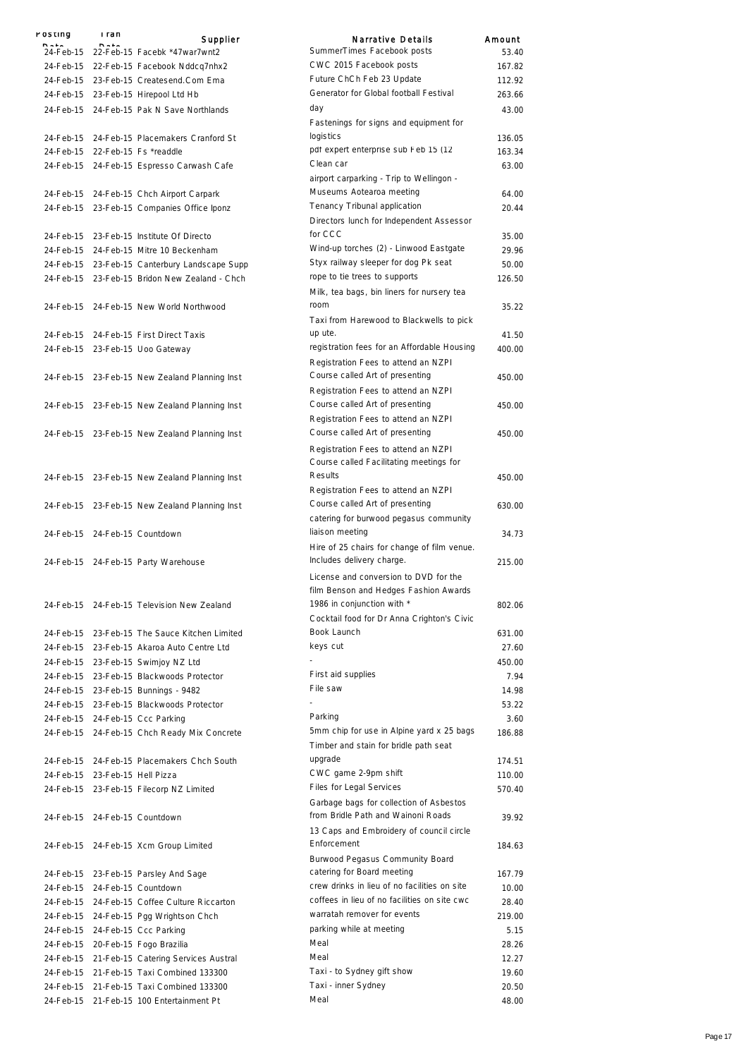| $P = 1$ | rusuny | rran<br>$B = 1$                | Supplier                                                                                    | Narrative Details                                                              | Amount |
|---------|--------|--------------------------------|---------------------------------------------------------------------------------------------|--------------------------------------------------------------------------------|--------|
|         |        |                                | 24-Feb-15 22-Feb-15 Facebk *47war7wnt2                                                      | SummerTimes Facebook posts                                                     | 53.40  |
|         |        |                                | 24-Feb-15 22-Feb-15 Facebook Nddcg7nhx2                                                     | CWC 2015 Facebook posts                                                        | 167.82 |
|         |        |                                | 24-Feb-15 23-Feb-15 Createsend.Com Ema                                                      | Future ChCh Feb 23 Update                                                      | 112.92 |
|         |        |                                | 24-Feb-15 23-Feb-15 Hirepool Ltd Hb                                                         | Generator for Global football Festival                                         | 263.66 |
|         |        |                                | 24-Feb-15 24-Feb-15 Pak N Save Northlands                                                   | day                                                                            | 43.00  |
|         |        |                                |                                                                                             | Fastenings for signs and equipment for                                         |        |
|         |        |                                | 24-Feb-15 24-Feb-15 Placemakers Cranford St                                                 | logistics                                                                      | 136.05 |
|         |        |                                | 24-Feb-15 22-Feb-15 Fs *readdle                                                             | pdf expert enterprise sub Feb 15 (12                                           | 163.34 |
|         |        |                                | 24-Feb-15 24-Feb-15 Espresso Carwash Cafe                                                   | Clean car                                                                      | 63.00  |
|         |        |                                |                                                                                             | airport carparking - Trip to Wellingon -                                       |        |
|         |        |                                | 24-Feb-15 24-Feb-15 Chch Airport Carpark                                                    | Museums Aotearoa meeting                                                       | 64.00  |
|         |        |                                | 24-Feb-15 23-Feb-15 Companies Office Iponz                                                  | Tenancy Tribunal application                                                   | 20.44  |
|         |        |                                |                                                                                             | Directors lunch for Independent Assessor                                       |        |
|         |        |                                | 24-Feb-15 23-Feb-15 Institute Of Directo                                                    | for CCC                                                                        | 35.00  |
|         |        |                                | 24-Feb-15 24-Feb-15 Mitre 10 Beckenham                                                      | Wind-up torches (2) - Linwood Eastgate                                         | 29.96  |
|         |        |                                | 24-Feb-15 23-Feb-15 Canterbury Landscape Supp                                               | Styx railway sleeper for dog Pk seat                                           | 50.00  |
|         |        |                                | 24-Feb-15 23-Feb-15 Bridon New Zealand - Chch                                               | rope to tie trees to supports                                                  | 126.50 |
|         |        |                                |                                                                                             | Milk, tea bags, bin liners for nursery tea                                     |        |
|         |        |                                | 24-Feb-15 24-Feb-15 New World Northwood                                                     | room                                                                           | 35.22  |
|         |        |                                |                                                                                             | Taxi from Harewood to Blackwells to pick                                       |        |
|         |        |                                | 24-Feb-15 24-Feb-15 First Direct Taxis                                                      | up ute.                                                                        | 41.50  |
|         |        |                                | 24-Feb-15 23-Feb-15 Uoo Gateway                                                             | registration fees for an Affordable Housing                                    | 400.00 |
|         |        |                                |                                                                                             | Registration Fees to attend an NZPI                                            |        |
|         |        |                                | 24-Feb-15 23-Feb-15 New Zealand Planning Inst                                               | Course called Art of presenting                                                | 450.00 |
|         |        |                                |                                                                                             | Registration Fees to attend an NZPI                                            |        |
|         |        |                                | 24-Feb-15 23-Feb-15 New Zealand Planning Inst                                               | Course called Art of presenting                                                | 450.00 |
|         |        |                                |                                                                                             | Registration Fees to attend an NZPI<br>Course called Art of presenting         |        |
|         |        |                                | 24-Feb-15 23-Feb-15 New Zealand Planning Inst                                               |                                                                                | 450.00 |
|         |        |                                |                                                                                             | Registration Fees to attend an NZPI                                            |        |
|         |        |                                |                                                                                             | Course called Facilitating meetings for                                        |        |
|         |        |                                | 24-Feb-15 23-Feb-15 New Zealand Planning Inst                                               | Results                                                                        | 450.00 |
|         |        |                                |                                                                                             | Registration Fees to attend an NZPI                                            |        |
|         |        |                                | 24-Feb-15 23-Feb-15 New Zealand Planning Inst                                               | Course called Art of presenting                                                | 630.00 |
|         |        |                                |                                                                                             | catering for burwood pegasus community<br>liaison meeting                      |        |
|         |        |                                | 24-Feb-15 24-Feb-15 Countdown                                                               |                                                                                | 34.73  |
|         |        |                                |                                                                                             | Hire of 25 chairs for change of film venue.<br>Includes delivery charge.       |        |
|         |        |                                | 24-Feb-15 24-Feb-15 Party Warehouse                                                         |                                                                                | 215.00 |
|         |        |                                |                                                                                             | License and conversion to DVD for the<br>film Benson and Hedges Fashion Awards |        |
|         |        |                                |                                                                                             | 1986 in conjunction with *                                                     |        |
|         |        |                                | 24-Feb-15 24-Feb-15 Television New Zealand                                                  | Cocktail food for Dr Anna Crighton's Civic                                     | 802.06 |
|         |        |                                |                                                                                             | Book Launch                                                                    | 631.00 |
|         |        |                                | 24-Feb-15 23-Feb-15 The Sauce Kitchen Limited<br>24-Feb-15 23-Feb-15 Akaroa Auto Centre Ltd | keys cut                                                                       | 27.60  |
|         |        |                                | 24-Feb-15 23-Feb-15 Swimjoy NZ Ltd                                                          |                                                                                | 450.00 |
|         |        |                                | 24-Feb-15 23-Feb-15 Blackwoods Protector                                                    | First aid supplies                                                             | 7.94   |
|         |        |                                |                                                                                             | File saw                                                                       | 14.98  |
|         |        |                                | 24-Feb-15 23-Feb-15 Bunnings - 9482<br>24-Feb-15 23-Feb-15 Blackwoods Protector             |                                                                                | 53.22  |
|         |        |                                | 24-Feb-15 24-Feb-15 Ccc Parking                                                             | Parking                                                                        | 3.60   |
|         |        |                                | 24-Feb-15 24-Feb-15 Chch Ready Mix Concrete                                                 | 5mm chip for use in Alpine yard x 25 bags                                      | 186.88 |
|         |        |                                |                                                                                             | Timber and stain for bridle path seat                                          |        |
|         |        |                                | 24-Feb-15 24-Feb-15 Placemakers Chch South                                                  | upgrade                                                                        | 174.51 |
|         |        | 24-Feb-15 23-Feb-15 Hell Pizza |                                                                                             | CWC game 2-9pm shift                                                           | 110.00 |
|         |        |                                | 24-Feb-15 23-Feb-15 Filecorp NZ Limited                                                     | Files for Legal Services                                                       | 570.40 |
|         |        |                                |                                                                                             | Garbage bags for collection of Asbestos                                        |        |
|         |        |                                | 24-Feb-15 24-Feb-15 Countdown                                                               | from Bridle Path and Wainoni Roads                                             | 39.92  |
|         |        |                                |                                                                                             | 13 Caps and Embroidery of council circle                                       |        |
|         |        |                                | 24-Feb-15 24-Feb-15 Xcm Group Limited                                                       | Enforcement                                                                    | 184.63 |
|         |        |                                |                                                                                             | Burwood Pegasus Community Board                                                |        |
|         |        |                                | 24-Feb-15 23-Feb-15 Parsley And Sage                                                        | catering for Board meeting                                                     | 167.79 |
|         |        |                                | 24-Feb-15 24-Feb-15 Countdown                                                               | crew drinks in lieu of no facilities on site                                   | 10.00  |
|         |        |                                | 24-Feb-15 24-Feb-15 Coffee Culture Riccarton                                                | coffees in lieu of no facilities on site cwc                                   | 28.40  |
|         |        |                                | 24-Feb-15 24-Feb-15 Pgg Wrightson Chch                                                      | warratah remover for events                                                    | 219.00 |
|         |        |                                | 24-Feb-15 24-Feb-15 Ccc Parking                                                             | parking while at meeting                                                       | 5.15   |
|         |        |                                |                                                                                             | Meal                                                                           | 28.26  |
|         |        |                                | 24-Feb-15 20-Feb-15 Fogo Brazilia                                                           | Meal                                                                           | 12.27  |
|         |        |                                | 24-Feb-15 21-Feb-15 Catering Services Austral<br>24-Feb-15 21-Feb-15 Taxi Combined 133300   | Taxi - to Sydney gift show                                                     | 19.60  |
|         |        |                                |                                                                                             | Taxi - inner Sydney                                                            |        |
|         |        |                                | 24-Feb-15 21-Feb-15 Taxi Combined 133300                                                    | Meal                                                                           | 20.50  |
|         |        |                                | 24-Feb-15 21-Feb-15 100 Entertainment Pt                                                    |                                                                                | 48.00  |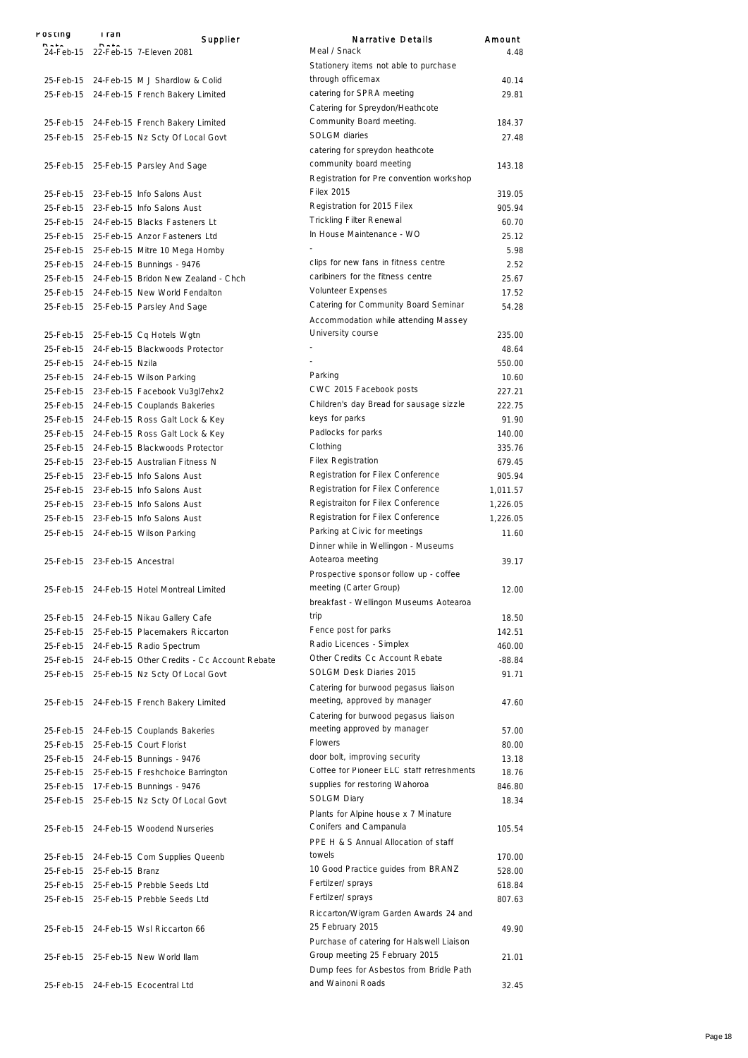| POSTING                       | rran | Supplier                                              | <b>Narrative Details</b>                                      | Amount   |
|-------------------------------|------|-------------------------------------------------------|---------------------------------------------------------------|----------|
|                               |      | 24-Feb-15 22-Feb-15 7-Eleven 2081                     | Meal / Snack                                                  | 4.48     |
|                               |      |                                                       | Stationery items not able to purchase                         |          |
|                               |      | 25-Feb-15 24-Feb-15 M J Shardlow & Colid              | through officemax                                             | 40.14    |
|                               |      | 25-Feb-15 24-Feb-15 French Bakery Limited             | catering for SPRA meeting                                     | 29.81    |
|                               |      |                                                       | Catering for Spreydon/Heathcote                               |          |
|                               |      | 25-Feb-15 24-Feb-15 French Bakery Limited             | Community Board meeting.                                      | 184.37   |
|                               |      |                                                       | SOLGM diaries                                                 | 27.48    |
|                               |      | 25-Feb-15 25-Feb-15 Nz Scty Of Local Govt             | catering for spreydon heathcote                               |          |
|                               |      |                                                       | community board meeting                                       |          |
|                               |      | 25-Feb-15 25-Feb-15 Parsley And Sage                  |                                                               | 143.18   |
|                               |      |                                                       | Registration for Pre convention workshop<br><b>Filex 2015</b> |          |
|                               |      | 25-Feb-15 23-Feb-15 Info Salons Aust                  |                                                               | 319.05   |
|                               |      | 25-Feb-15 23-Feb-15 Info Salons Aust                  | Registration for 2015 Filex                                   | 905.94   |
|                               |      | 25-Feb-15 24-Feb-15 Blacks Fasteners Lt               | <b>Trickling Filter Renewal</b>                               | 60.70    |
|                               |      | 25-Feb-15 25-Feb-15 Anzor Fasteners Ltd               | In House Maintenance - WO                                     | 25.12    |
|                               |      | 25-Feb-15 25-Feb-15 Mitre 10 Mega Hornby              |                                                               | 5.98     |
|                               |      | 25-Feb-15 24-Feb-15 Bunnings - 9476                   | clips for new fans in fitness centre                          | 2.52     |
|                               |      | 25-Feb-15 24-Feb-15 Bridon New Zealand - Chch         | caribiners for the fitness centre                             | 25.67    |
|                               |      | 25-Feb-15 24-Feb-15 New World Fendalton               | <b>Volunteer Expenses</b>                                     | 17.52    |
|                               |      | 25-Feb-15 25-Feb-15 Parsley And Sage                  | Catering for Community Board Seminar                          | 54.28    |
|                               |      |                                                       | Accommodation while attending Massey                          |          |
|                               |      | 25-Feb-15 25-Feb-15 Cq Hotels Wgtn                    | University course                                             | 235.00   |
|                               |      | 25-Feb-15 24-Feb-15 Blackwoods Protector              |                                                               | 48.64    |
| 25-Feb-15 24-Feb-15 Nzila     |      |                                                       |                                                               | 550.00   |
|                               |      | 25-Feb-15 24-Feb-15 Wilson Parking                    | Parking                                                       | 10.60    |
|                               |      | 25-Feb-15 23-Feb-15 Facebook Vu3gl7ehx2               | CWC 2015 Facebook posts                                       | 227.21   |
|                               |      | 25-Feb-15 24-Feb-15 Couplands Bakeries                | Children's day Bread for sausage sizzle                       | 222.75   |
|                               |      | 25-Feb-15 24-Feb-15 Ross Galt Lock & Key              | keys for parks                                                | 91.90    |
|                               |      | 25-Feb-15 24-Feb-15 Ross Galt Lock & Key              | Padlocks for parks                                            | 140.00   |
|                               |      | 25-Feb-15 24-Feb-15 Blackwoods Protector              | Clothing                                                      | 335.76   |
|                               |      | 25-Feb-15 23-Feb-15 Australian Fitness N              | <b>Filex Registration</b>                                     | 679.45   |
|                               |      | 25-Feb-15 23-Feb-15 Info Salons Aust                  | Registration for Filex Conference                             | 905.94   |
|                               |      | 25-Feb-15 23-Feb-15 Info Salons Aust                  | Registration for Filex Conference                             | 1,011.57 |
|                               |      | 25-Feb-15 23-Feb-15 Info Salons Aust                  | Registraiton for Filex Conference                             | 1,226.05 |
|                               |      | 25-Feb-15 23-Feb-15 Info Salons Aust                  | Registration for Filex Conference                             | 1,226.05 |
|                               |      | 25-Feb-15 24-Feb-15 Wilson Parking                    | Parking at Civic for meetings                                 | 11.60    |
|                               |      |                                                       | Dinner while in Wellingon - Museums                           |          |
| 25-Feb-15 23-Feb-15 Ancestral |      |                                                       | Aotearoa meeting                                              | 39.17    |
|                               |      |                                                       | Prospective sponsor follow up - coffee                        |          |
|                               |      | 25-Feb-15 24-Feb-15 Hotel Montreal Limited            | meeting (Carter Group)                                        | 12.00    |
|                               |      |                                                       | breakfast - Wellingon Museums Aotearoa                        |          |
|                               |      | 25-Feb-15 24-Feb-15 Nikau Gallery Cafe                | trip                                                          | 18.50    |
|                               |      | 25-Feb-15 25-Feb-15 Placemakers Riccarton             | Fence post for parks                                          | 142.51   |
|                               |      | 25-Feb-15 24-Feb-15 Radio Spectrum                    | Radio Licences - Simplex                                      | 460.00   |
|                               |      | 25-Feb-15 24-Feb-15 Other Credits - Cc Account Rebate | Other Credits Cc Account Rebate                               | $-88.84$ |
|                               |      | 25-Feb-15 25-Feb-15 Nz Scty Of Local Govt             | SOLGM Desk Diaries 2015                                       | 91.71    |
|                               |      |                                                       | Catering for burwood pegasus liaison                          |          |
|                               |      | 25-Feb-15 24-Feb-15 French Bakery Limited             | meeting, approved by manager                                  | 47.60    |
|                               |      |                                                       | Catering for burwood pegasus liaison                          |          |
|                               |      | 25-Feb-15 24-Feb-15 Couplands Bakeries                | meeting approved by manager                                   | 57.00    |
|                               |      | 25-Feb-15 25-Feb-15 Court Florist                     | Flowers                                                       | 80.00    |
|                               |      | 25-Feb-15 24-Feb-15 Bunnings - 9476                   | door bolt, improving security                                 | 13.18    |
|                               |      | 25-Feb-15 25-Feb-15 Freshchoice Barrington            | Coffee for Pioneer ELC staff refreshments                     | 18.76    |
|                               |      | 25-Feb-15 17-Feb-15 Bunnings - 9476                   | supplies for restoring Wahoroa                                | 846.80   |
|                               |      | 25-Feb-15 25-Feb-15 Nz Scty Of Local Govt             | <b>SOLGM Diary</b>                                            | 18.34    |
|                               |      |                                                       | Plants for Alpine house x 7 Minature                          |          |
|                               |      | 25-Feb-15 24-Feb-15 Woodend Nurseries                 | Conifers and Campanula                                        | 105.54   |
|                               |      |                                                       | PPE H & S Annual Allocation of staff                          |          |
|                               |      |                                                       | towels                                                        |          |
|                               |      | 25-Feb-15 24-Feb-15 Com Supplies Queenb               | 10 Good Practice guides from BRANZ                            | 170.00   |
| 25-Feb-15 25-Feb-15 Branz     |      |                                                       | Fertilzer/ sprays                                             | 528.00   |
|                               |      | 25-Feb-15 25-Feb-15 Prebble Seeds Ltd                 | Fertilzer/ sprays                                             | 618.84   |
|                               |      | 25-Feb-15 25-Feb-15 Prebble Seeds Ltd                 |                                                               | 807.63   |
|                               |      |                                                       | Riccarton/Wigram Garden Awards 24 and                         |          |
|                               |      | 25-Feb-15 24-Feb-15 Wsl Riccarton 66                  | 25 February 2015                                              | 49.90    |
|                               |      |                                                       | Purchase of catering for Halswell Liaison                     |          |
|                               |      | 25-Feb-15 25-Feb-15 New World Ilam                    | Group meeting 25 February 2015                                | 21.01    |
|                               |      |                                                       | Dump fees for Asbestos from Bridle Path                       |          |
|                               |      | 25-Feb-15 24-Feb-15 Ecocentral Ltd                    | and Wainoni Roads                                             | 32.45    |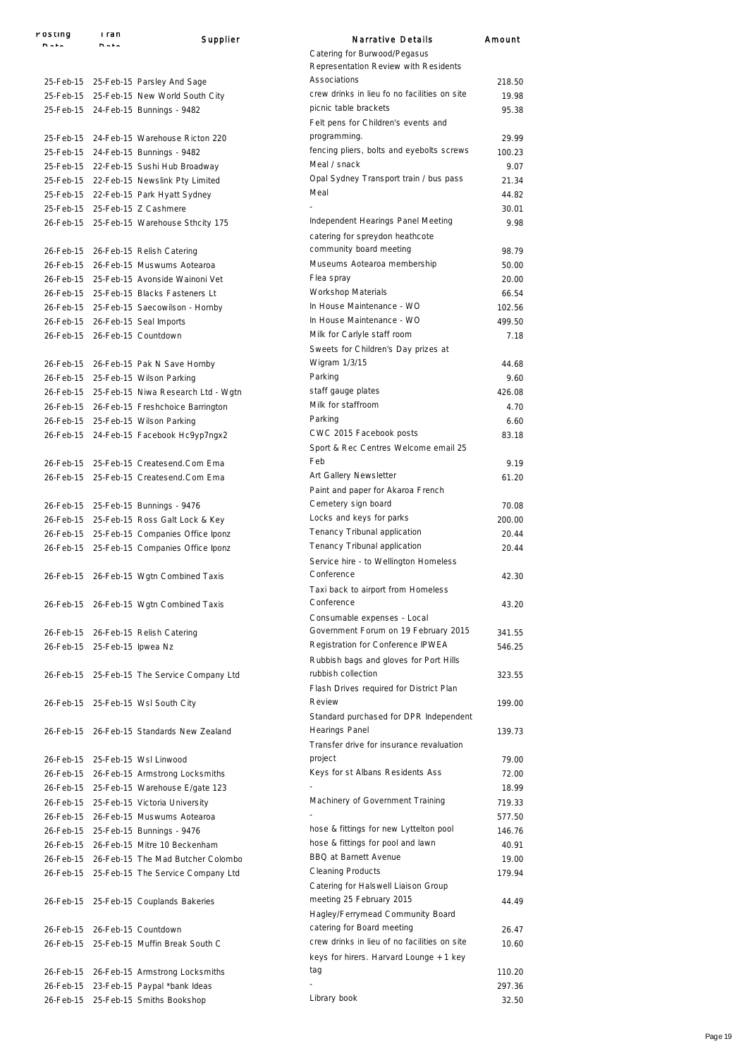| Posting                      | rran | Supplier                                     | Narrative Details                                                                       | Amount |
|------------------------------|------|----------------------------------------------|-----------------------------------------------------------------------------------------|--------|
|                              | n.,. |                                              | Catering for Burwood/Pegasus                                                            |        |
|                              |      |                                              | Representation Review with Residents                                                    |        |
|                              |      | 25-Feb-15 25-Feb-15 Parsley And Sage         | Associations                                                                            | 218.50 |
|                              |      | 25-Feb-15 25-Feb-15 New World South City     | crew drinks in lieu fo no facilities on site                                            | 19.98  |
|                              |      |                                              | picnic table brackets                                                                   | 95.38  |
|                              |      | 25-Feb-15 24-Feb-15 Bunnings - 9482          |                                                                                         |        |
|                              |      |                                              | Felt pens for Children's events and                                                     |        |
|                              |      | 25-Feb-15 24-Feb-15 Warehouse Ricton 220     | programming.                                                                            | 29.99  |
|                              |      | 25-Feb-15 24-Feb-15 Bunnings - 9482          | fencing pliers, bolts and eyebolts screws                                               | 100.23 |
|                              |      | 25-Feb-15 22-Feb-15 Sushi Hub Broadway       | Meal / snack                                                                            | 9.07   |
|                              |      | 25-Feb-15 22-Feb-15 Newslink Pty Limited     | Opal Sydney Transport train / bus pass                                                  | 21.34  |
|                              |      | 25-Feb-15 22-Feb-15 Park Hyatt Sydney        | Meal                                                                                    | 44.82  |
|                              |      | 25-Feb-15 25-Feb-15 Z Cashmere               |                                                                                         | 30.01  |
|                              |      | 26-Feb-15 25-Feb-15 Warehouse Sthcity 175    | Independent Hearings Panel Meeting<br>catering for spreydon heathcote                   | 9.98   |
|                              |      | 26-Feb-15 26-Feb-15 Relish Catering          | community board meeting                                                                 | 98.79  |
|                              |      | 26-Feb-15 26-Feb-15 Muswums Aotearoa         | Museums Aotearoa membership                                                             | 50.00  |
|                              |      | 26-Feb-15 25-Feb-15 Avonside Wainoni Vet     | Flea spray                                                                              | 20.00  |
|                              |      | 26-Feb-15 25-Feb-15 Blacks Fasteners Lt      | Workshop Materials                                                                      | 66.54  |
|                              |      | 26-Feb-15 25-Feb-15 Saecowilson - Hornby     | In House Maintenance - WO                                                               | 102.56 |
|                              |      | 26-Feb-15 26-Feb-15 Seal Imports             | In House Maintenance - WO                                                               | 499.50 |
|                              |      |                                              | Milk for Carlyle staff room                                                             |        |
|                              |      | 26-Feb-15 26-Feb-15 Countdown                |                                                                                         | 7.18   |
|                              |      |                                              | Sweets for Children's Day prizes at                                                     |        |
|                              |      | 26-Feb-15 26-Feb-15 Pak N Save Hornby        | Wigram 1/3/15                                                                           | 44.68  |
|                              |      | 26-Feb-15 25-Feb-15 Wilson Parking           | Parking                                                                                 | 9.60   |
|                              |      | 26-Feb-15 25-Feb-15 Niwa Research Ltd - Wgtn | staff gauge plates                                                                      | 426.08 |
|                              |      | 26-Feb-15 26-Feb-15 Freshchoice Barrington   | Milk for staffroom                                                                      | 4.70   |
|                              |      | 26-Feb-15 25-Feb-15 Wilson Parking           | Parking                                                                                 | 6.60   |
|                              |      | 26-Feb-15 24-Feb-15 Facebook Hc9yp7ngx2      | CWC 2015 Facebook posts                                                                 | 83.18  |
|                              |      |                                              | Sport & Rec Centres Welcome email 25                                                    |        |
|                              |      | 26-Feb-15 25-Feb-15 Createsend.Com Ema       | Feb                                                                                     | 9.19   |
|                              |      | 26-Feb-15 25-Feb-15 Createsend.Com Ema       | Art Gallery Newsletter                                                                  | 61.20  |
|                              |      |                                              | Paint and paper for Akaroa French                                                       |        |
|                              |      |                                              | Cemetery sign board                                                                     | 70.08  |
|                              |      | 26-Feb-15 25-Feb-15 Bunnings - 9476          | Locks and keys for parks                                                                |        |
|                              |      | 26-Feb-15 25-Feb-15 Ross Galt Lock & Key     | Tenancy Tribunal application                                                            | 200.00 |
|                              |      | 26-Feb-15 25-Feb-15 Companies Office Iponz   |                                                                                         | 20.44  |
|                              |      | 26-Feb-15 25-Feb-15 Companies Office Iponz   | Tenancy Tribunal application<br>Service hire - to Wellington Homeless                   | 20.44  |
|                              |      | 26-Feb-15 26-Feb-15 Wgtn Combined Taxis      | Conference<br>Taxi back to airport from Homeless                                        | 42.30  |
|                              |      | 26-Feb-15 26-Feb-15 Wgtn Combined Taxis      | Conference                                                                              | 43.20  |
|                              |      |                                              | Consumable expenses - Local                                                             |        |
|                              |      |                                              | Government Forum on 19 February 2015                                                    |        |
|                              |      | 26-Feb-15 26-Feb-15 Relish Catering          | Registration for Conference IPWEA                                                       | 341.55 |
| 26-Feb-15 25-Feb-15 Ipwea Nz |      |                                              |                                                                                         | 546.25 |
|                              |      |                                              | Rubbish bags and gloves for Port Hills                                                  |        |
|                              |      | 26-Feb-15 25-Feb-15 The Service Company Ltd  | rubbish collection                                                                      | 323.55 |
|                              |      |                                              | Flash Drives required for District Plan                                                 |        |
|                              |      | 26-Feb-15 25-Feb-15 Wsl South City           | Review                                                                                  | 199.00 |
|                              |      |                                              | Standard purchased for DPR Independent                                                  |        |
|                              |      | 26-Feb-15 26-Feb-15 Standards New Zealand    | Hearings Panel                                                                          | 139.73 |
|                              |      |                                              | Transfer drive for insurance revaluation                                                |        |
|                              |      | 26-Feb-15 25-Feb-15 Wsl Linwood              | project                                                                                 | 79.00  |
|                              |      | 26-Feb-15 26-Feb-15 Armstrong Locksmiths     | Keys for st Albans Residents Ass                                                        | 72.00  |
|                              |      | 26-Feb-15 25-Feb-15 Warehouse E/gate 123     |                                                                                         | 18.99  |
|                              |      | 26-Feb-15 25-Feb-15 Victoria University      | Machinery of Government Training                                                        | 719.33 |
|                              |      | 26-Feb-15 26-Feb-15 Muswums Aotearoa         |                                                                                         | 577.50 |
|                              |      | 26-Feb-15 25-Feb-15 Bunnings - 9476          | hose & fittings for new Lyttelton pool                                                  | 146.76 |
|                              |      | 26-Feb-15 26-Feb-15 Mitre 10 Beckenham       | hose & fittings for pool and lawn                                                       | 40.91  |
|                              |      |                                              | BBQ at Barnett Avenue                                                                   |        |
|                              |      | 26-Feb-15 26-Feb-15 The Mad Butcher Colombo  |                                                                                         | 19.00  |
|                              |      | 26-Feb-15 25-Feb-15 The Service Company Ltd  | <b>Cleaning Products</b><br>Catering for Halswell Liaison Group                         | 179.94 |
|                              |      | 26-Feb-15 25-Feb-15 Couplands Bakeries       | meeting 25 February 2015                                                                | 44.49  |
|                              |      |                                              | Hagley/Ferrymead Community Board                                                        |        |
|                              |      | 26-Feb-15 26-Feb-15 Countdown                | catering for Board meeting                                                              | 26.47  |
|                              |      | 26-Feb-15 25-Feb-15 Muffin Break South C     | crew drinks in lieu of no facilities on site<br>keys for hirers. Harvard Lounge + 1 key | 10.60  |
|                              |      | 26-Feb-15 26-Feb-15 Armstrong Locksmiths     | tag                                                                                     | 110.20 |
|                              |      | 26-Feb-15 23-Feb-15 Paypal *bank Ideas       |                                                                                         | 297.36 |
|                              |      | 26-Feb-15 25-Feb-15 Smiths Bookshop          | Library book                                                                            | 32.50  |
|                              |      |                                              |                                                                                         |        |